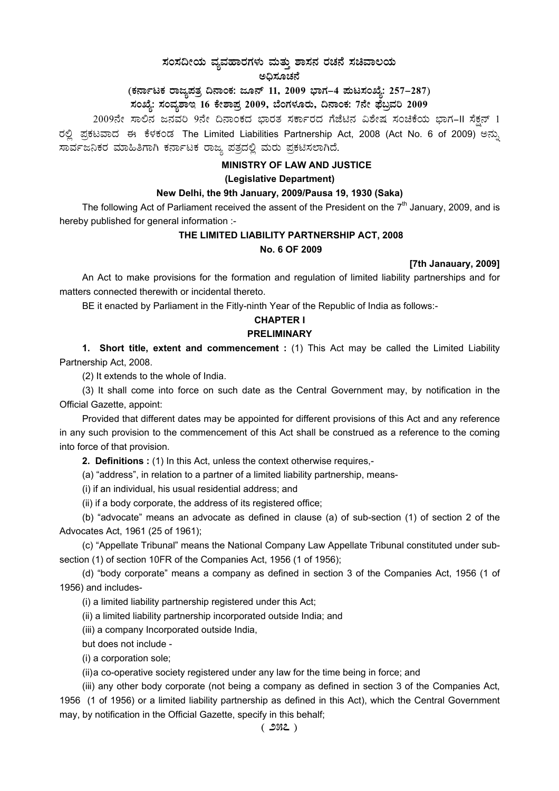# $\pi$ ನಂಸದೀಯ ವ್ಯವಹಾರಗಳು ಮತ್ತು ಶಾಸನ ರಚನೆ ಸಚಿವಾಲಯ

ಅಧಿಸೂಚನೆ

## (ಕರ್ನಾಟಕ ರಾಜ್ಯಪತ್ರ ದಿನಾಂಕ: ಜೂನ್ 11, 2009 ಭಾಗ–4 **ಪುಟಸಂಖ್ಯೆ: 257–287**)

### **¸ÀASÉå: ¸ÀAªÀå±ÁE 16 PÉñÁ¥Àæ 2009, ¨ÉAUÀ¼ÀÆgÀÄ, ¢£ÁAPÀ: 7£Éà ¥sɧæªÀj 2009**

2009ನೇ ಸಾಲಿನ ಜನವರಿ 9ನೇ ದಿನಾಂಕದ ಭಾರತ ಸರ್ಕಾರದ ಗೆಜೆಟಿನ ವಿಶೇಷ ಸಂಚಿಕೆಯ ಭಾಗ-II ಸೆಕ್ಷನ್ 1 ರಲ್ಲಿ ಪ್ರಕಟವಾದ ಈ ಕೆಳಕಂಡ The Limited Liabilities Partnership Act, 2008 (Act No. 6 of 2009) ಅನ್ನು ಸಾರ್ವಜನಿಕರ ಮಾಹಿತಿಗಾಗಿ ಕರ್ನಾಟಕ ರಾಜ್ಯ ಪತ್ರದಲ್ಲಿ ಮರು ಪ್ರಕಟಿಸಲಾಗಿದೆ.

### **MINISTRY OF LAW AND JUSTICE**

### **(Legislative Department)**

### **New Delhi, the 9th January, 2009/Pausa 19, 1930 (Saka)**

The following Act of Parliament received the assent of the President on the  $7<sup>th</sup>$  January, 2009, and is hereby published for general information :-

### **THE LIMITED LIABILITY PARTNERSHIP ACT, 2008 No. 6 OF 2009**

**[7th Janauary, 2009]** 

An Act to make provisions for the formation and regulation of limited liability partnerships and for matters connected therewith or incidental thereto.

BE it enacted by Parliament in the Fitly-ninth Year of the Republic of India as follows:-

### **CHAPTER I**

### **PRELIMINARY**

**1. Short title, extent and commencement :** (1) This Act may be called the Limited Liability Partnership Act, 2008.

(2) It extends to the whole of India.

(3) It shall come into force on such date as the Central Government may, by notification in the Official Gazette, appoint:

Provided that different dates may be appointed for different provisions of this Act and any reference in any such provision to the commencement of this Act shall be construed as a reference to the coming into force of that provision.

**2. Definitions :** (1) In this Act, unless the context otherwise requires,-

(a) "address", in relation to a partner of a limited liability partnership, means-

(i) if an individual, his usual residential address; and

(ii) if a body corporate, the address of its registered office;

(b) "advocate" means an advocate as defined in clause (a) of sub-section (1) of section 2 of the Advocates Act, 1961 (25 of 1961);

(c) "Appellate Tribunal" means the National Company Law Appellate Tribunal constituted under subsection (1) of section 10FR of the Companies Act, 1956 (1 of 1956);

(d) "body corporate" means a company as defined in section 3 of the Companies Act, 1956 (1 of 1956) and includes-

(i) a limited liability partnership registered under this Act;

(ii) a limited liability partnership incorporated outside India; and

(iii) a company Incorporated outside India,

but does not include -

(i) a corporation sole;

(ii) a co-operative society registered under any law for the time being in force; and

(iii) any other body corporate (not being a company as defined in section 3 of the Companies Act,

1956 (1 of 1956) or a limited liability partnership as defined in this Act), which the Central Government may, by notification in the Official Gazette, specify in this behalf;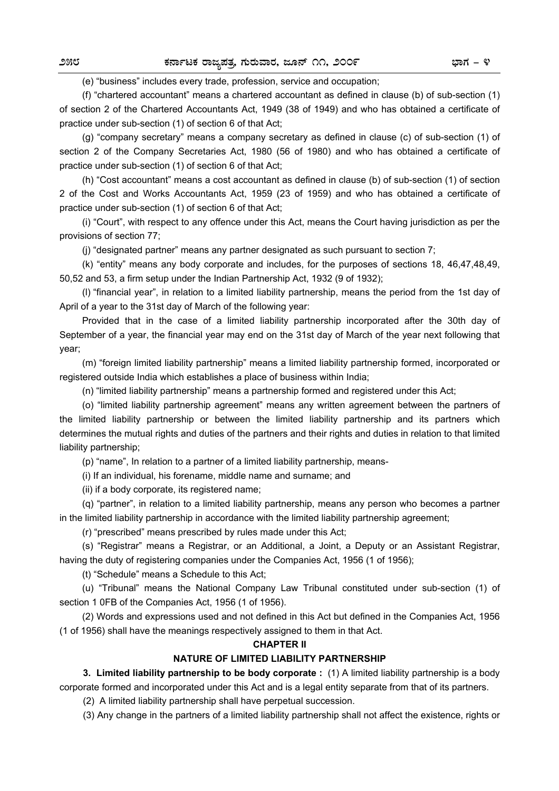(e) "business" includes every trade, profession, service and occupation;

(f) "chartered accountant" means a chartered accountant as defined in clause (b) of sub-section (1) of section 2 of the Chartered Accountants Act, 1949 (38 of 1949) and who has obtained a certificate of practice under sub-section (1) of section 6 of that Act;

(g) "company secretary" means a company secretary as defined in clause (c) of sub-section (1) of section 2 of the Company Secretaries Act, 1980 (56 of 1980) and who has obtained a certificate of practice under sub-section (1) of section 6 of that Act;

(h) "Cost accountant" means a cost accountant as defined in clause (b) of sub-section (1) of section 2 of the Cost and Works Accountants Act, 1959 (23 of 1959) and who has obtained a certificate of practice under sub-section (1) of section 6 of that Act;

(i) "Court", with respect to any offence under this Act, means the Court having jurisdiction as per the provisions of section 77;

(j) "designated partner" means any partner designated as such pursuant to section 7;

(k) "entity" means any body corporate and includes, for the purposes of sections 18, 46,47,48,49, 50,52 and 53, a firm setup under the Indian Partnership Act, 1932 (9 of 1932);

(l) "financial year", in relation to a limited liability partnership, means the period from the 1st day of April of a year to the 31st day of March of the following year:

Provided that in the case of a limited liability partnership incorporated after the 30th day of September of a year, the financial year may end on the 31st day of March of the year next following that year;

(m) "foreign limited liability partnership" means a limited liability partnership formed, incorporated or registered outside India which establishes a place of business within India;

(n) "limited liability partnership" means a partnership formed and registered under this Act;

(o) "limited liability partnership agreement" means any written agreement between the partners of the limited liability partnership or between the limited liability partnership and its partners which determines the mutual rights and duties of the partners and their rights and duties in relation to that limited liability partnership;

(p) "name", In relation to a partner of a limited liability partnership, means-

(i) If an individual, his forename, middle name and surname; and

(ii) if a body corporate, its registered name;

(q) "partner", in relation to a limited liability partnership, means any person who becomes a partner in the limited liability partnership in accordance with the limited liability partnership agreement;

(r) "prescribed" means prescribed by rules made under this Act;

(s) "Registrar" means a Registrar, or an Additional, a Joint, a Deputy or an Assistant Registrar, having the duty of registering companies under the Companies Act, 1956 (1 of 1956);

(t) "Schedule" means a Schedule to this Act;

(u) "Tribunal" means the National Company Law Tribunal constituted under sub-section (1) of section 1 0FB of the Companies Act, 1956 (1 of 1956).

(2) Words and expressions used and not defined in this Act but defined in the Companies Act, 1956 (1 of 1956) shall have the meanings respectively assigned to them in that Act.

### **CHAPTER II**

### **NATURE OF LIMITED LIABILITY PARTNERSHIP**

**3. Limited liability partnership to be body corporate :** (1) A limited liability partnership is a body corporate formed and incorporated under this Act and is a legal entity separate from that of its partners.

(2) A limited liability partnership shall have perpetual succession.

(3) Any change in the partners of a limited liability partnership shall not affect the existence, rights or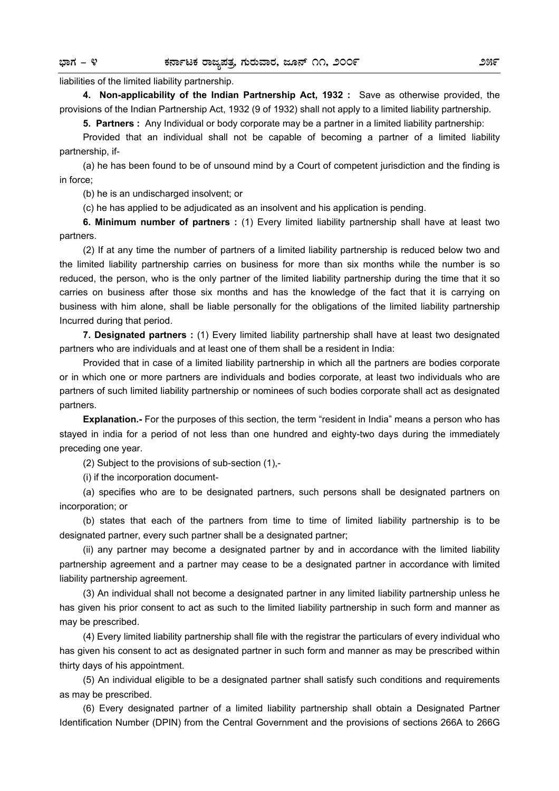liabilities of the limited liability partnership.

**4. Non-applicability of the Indian Partnership Act, 1932 :** Save as otherwise provided, the provisions of the Indian Partnership Act, 1932 (9 of 1932) shall not apply to a limited liability partnership.

**5. Partners :** Any Individual or body corporate may be a partner in a limited liability partnership:

Provided that an individual shall not be capable of becoming a partner of a limited liability partnership, if-

(a) he has been found to be of unsound mind by a Court of competent jurisdiction and the finding is in force;

(b) he is an undischarged insolvent; or

(c) he has applied to be adjudicated as an insolvent and his application is pending.

**6. Minimum number of partners :** (1) Every limited liability partnership shall have at least two partners.

(2) If at any time the number of partners of a limited liability partnership is reduced below two and the limited liability partnership carries on business for more than six months while the number is so reduced, the person, who is the only partner of the limited liability partnership during the time that it so carries on business after those six months and has the knowledge of the fact that it is carrying on business with him alone, shall be liable personally for the obligations of the limited liability partnership Incurred during that period.

**7. Designated partners :** (1) Every limited liability partnership shall have at least two designated partners who are individuals and at least one of them shall be a resident in India:

Provided that in case of a limited liability partnership in which all the partners are bodies corporate or in which one or more partners are individuals and bodies corporate, at least two individuals who are partners of such limited liability partnership or nominees of such bodies corporate shall act as designated partners.

**Explanation.-** For the purposes of this section, the term "resident in India" means a person who has stayed in india for a period of not less than one hundred and eighty-two days during the immediately preceding one year.

(2) Subject to the provisions of sub-section (1),-

(i) if the incorporation document-

(a) specifies who are to be designated partners, such persons shall be designated partners on incorporation; or

(b) states that each of the partners from time to time of limited liability partnership is to be designated partner, every such partner shall be a designated partner;

(ii) any partner may become a designated partner by and in accordance with the limited liability partnership agreement and a partner may cease to be a designated partner in accordance with limited liability partnership agreement.

(3) An individual shall not become a designated partner in any limited liability partnership unless he has given his prior consent to act as such to the limited liability partnership in such form and manner as may be prescribed.

(4) Every limited liability partnership shall file with the registrar the particulars of every individual who has given his consent to act as designated partner in such form and manner as may be prescribed within thirty days of his appointment.

(5) An individual eligible to be a designated partner shall satisfy such conditions and requirements as may be prescribed.

(6) Every designated partner of a limited liability partnership shall obtain a Designated Partner Identification Number (DPIN) from the Central Government and the provisions of sections 266A to 266G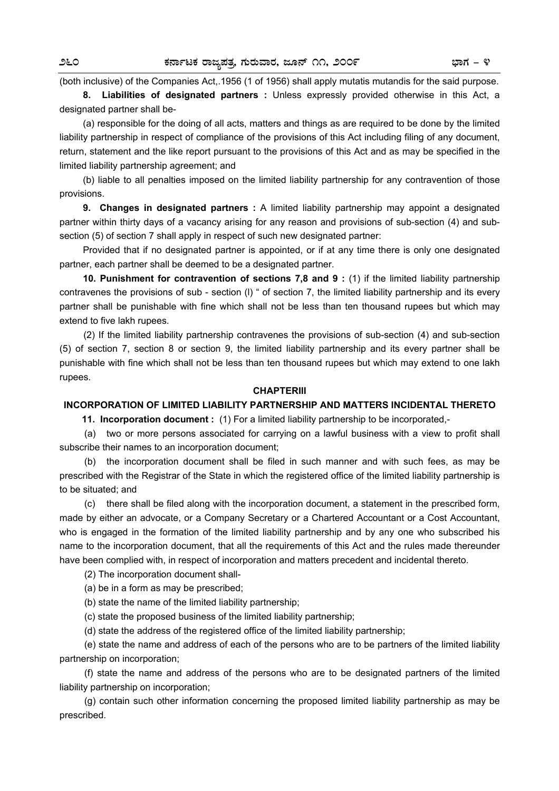(both inclusive) of the Companies Act,.1956 (1 of 1956) shall apply mutatis mutandis for the said purpose.

**8. Liabilities of designated partners :** Unless expressly provided otherwise in this Act, a designated partner shall be-

(a) responsible for the doing of all acts, matters and things as are required to be done by the limited liability partnership in respect of compliance of the provisions of this Act including filing of any document, return, statement and the like report pursuant to the provisions of this Act and as may be specified in the limited liability partnership agreement; and

(b) liable to all penalties imposed on the limited liability partnership for any contravention of those provisions.

**9. Changes in designated partners :** A limited liability partnership may appoint a designated partner within thirty days of a vacancy arising for any reason and provisions of sub-section (4) and subsection (5) of section 7 shall apply in respect of such new designated partner:

Provided that if no designated partner is appointed, or if at any time there is only one designated partner, each partner shall be deemed to be a designated partner.

**10. Punishment for contravention of sections 7,8 and 9 :** (1) if the limited liability partnership contravenes the provisions of sub - section (l) " of section 7, the limited liability partnership and its every partner shall be punishable with fine which shall not be less than ten thousand rupees but which may extend to five lakh rupees.

(2) If the limited liability partnership contravenes the provisions of sub-section (4) and sub-section (5) of section 7, section 8 or section 9, the limited liability partnership and its every partner shall be punishable with fine which shall not be less than ten thousand rupees but which may extend to one lakh rupees.

### **CHAPTERIII**

### **INCORPORATION OF LIMITED LIABILITY PARTNERSHIP AND MATTERS INCIDENTAL THERETO**

**11. Incorporation document :** (1) For a limited liability partnership to be incorporated,-

(a) two or more persons associated for carrying on a lawful business with a view to profit shall subscribe their names to an incorporation document;

 (b) the incorporation document shall be filed in such manner and with such fees, as may be prescribed with the Registrar of the State in which the registered office of the limited liability partnership is to be situated; and

 (c) there shall be filed along with the incorporation document, a statement in the prescribed form, made by either an advocate, or a Company Secretary or a Chartered Accountant or a Cost Accountant, who is engaged in the formation of the limited liability partnership and by any one who subscribed his name to the incorporation document, that all the requirements of this Act and the rules made thereunder have been complied with, in respect of incorporation and matters precedent and incidental thereto.

(2) The incorporation document shall-

(a) be in a form as may be prescribed;

(b) state the name of the limited liability partnership;

(c) state the proposed business of the limited liability partnership;

(d) state the address of the registered office of the limited liability partnership;

 (e) state the name and address of each of the persons who are to be partners of the limited liability partnership on incorporation;

 (f) state the name and address of the persons who are to be designated partners of the limited liability partnership on incorporation;

 (g) contain such other information concerning the proposed limited liability partnership as may be prescribed.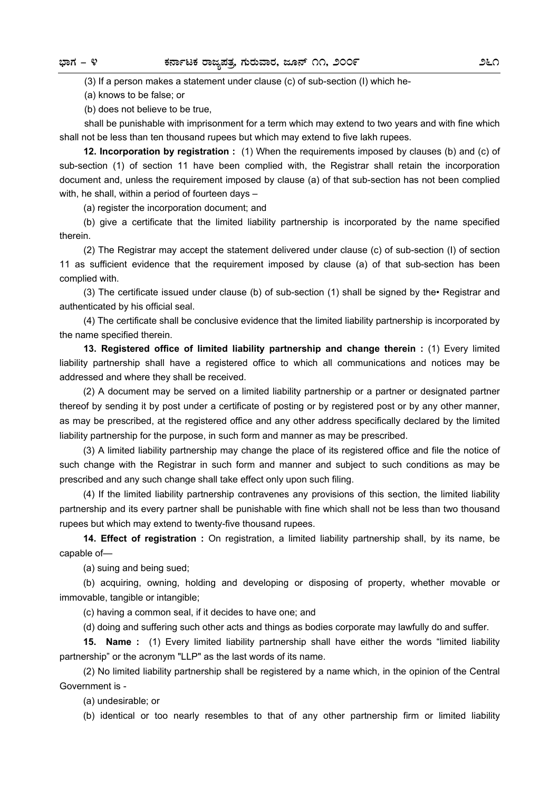(3) If a person makes a statement under clause (c) of sub-section (I) which he-

(a) knows to be false; or

(b) does not believe to be true,

 shall be punishable with imprisonment for a term which may extend to two years and with fine which shall not be less than ten thousand rupees but which may extend to five lakh rupees.

**12. Incorporation by registration :** (1) When the requirements imposed by clauses (b) and (c) of sub-section (1) of section 11 have been complied with, the Registrar shall retain the incorporation document and, unless the requirement imposed by clause (a) of that sub-section has not been complied with, he shall, within a period of fourteen days –

(a) register the incorporation document; and

(b) give a certificate that the limited liability partnership is incorporated by the name specified therein.

(2) The Registrar may accept the statement delivered under clause (c) of sub-section (I) of section 11 as sufficient evidence that the requirement imposed by clause (a) of that sub-section has been complied with.

(3) The certificate issued under clause (b) of sub-section (1) shall be signed by the• Registrar and authenticated by his official seal.

(4) The certificate shall be conclusive evidence that the limited liability partnership is incorporated by the name specified therein.

**13. Registered office of limited liability partnership and change therein :** (1) Every limited liability partnership shall have a registered office to which all communications and notices may be addressed and where they shall be received.

(2) A document may be served on a limited liability partnership or a partner or designated partner thereof by sending it by post under a certificate of posting or by registered post or by any other manner, as may be prescribed, at the registered office and any other address specifically declared by the limited liability partnership for the purpose, in such form and manner as may be prescribed.

(3) A limited liability partnership may change the place of its registered office and file the notice of such change with the Registrar in such form and manner and subject to such conditions as may be prescribed and any such change shall take effect only upon such filing.

(4) If the limited liability partnership contravenes any provisions of this section, the limited liability partnership and its every partner shall be punishable with fine which shall not be less than two thousand rupees but which may extend to twenty-five thousand rupees.

**14. Effect of registration :** On registration, a limited liability partnership shall, by its name, be capable of—

(a) suing and being sued;

(b) acquiring, owning, holding and developing or disposing of property, whether movable or immovable, tangible or intangible;

(c) having a common seal, if it decides to have one; and

(d) doing and suffering such other acts and things as bodies corporate may lawfully do and suffer.

**15. Name :** (1) Every limited liability partnership shall have either the words "limited liability partnership" or the acronym "LLP" as the last words of its name.

(2) No limited liability partnership shall be registered by a name which, in the opinion of the Central Government is -

(a) undesirable; or

(b) identical or too nearly resembles to that of any other partnership firm or limited liability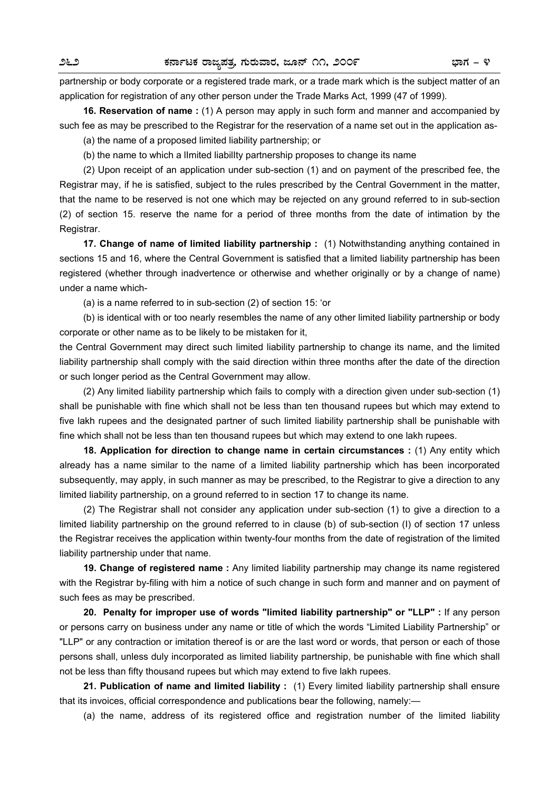partnership or body corporate or a registered trade mark, or a trade mark which is the subject matter of an application for registration of any other person under the Trade Marks Act, 1999 (47 of 1999).

**16. Reservation of name :** (1) A person may apply in such form and manner and accompanied by such fee as may be prescribed to the Registrar for the reservation of a name set out in the application as-

(a) the name of a proposed limited liability partnership; or

(b) the name to which a lImited liabilIty partnership proposes to change its name

(2) Upon receipt of an application under sub-section (1) and on payment of the prescribed fee, the Registrar may, if he is satisfied, subject to the rules prescribed by the Central Government in the matter, that the name to be reserved is not one which may be rejected on any ground referred to in sub-section (2) of section 15. reserve the name for a period of three months from the date of intimation by the Registrar.

**17. Change of name of limited liability partnership :** (1) Notwithstanding anything contained in sections 15 and 16, where the Central Government is satisfied that a limited liability partnership has been registered (whether through inadvertence or otherwise and whether originally or by a change of name) under a name which-

(a) is a name referred to in sub-section (2) of section 15: 'or

(b) is identical with or too nearly resembles the name of any other limited liability partnership or body corporate or other name as to be likely to be mistaken for it,

the Central Government may direct such limited liability partnership to change its name, and the limited liability partnership shall comply with the said direction within three months after the date of the direction or such longer period as the Central Government may allow.

(2) Any limited liability partnership which fails to comply with a direction given under sub-section (1) shall be punishable with fine which shall not be less than ten thousand rupees but which may extend to five lakh rupees and the designated partner of such limited liability partnership shall be punishable with fine which shall not be less than ten thousand rupees but which may extend to one lakh rupees.

**18. Application for direction to change name in certain circumstances :** (1) Any entity which already has a name similar to the name of a limited liability partnership which has been incorporated subsequently, may apply, in such manner as may be prescribed, to the Registrar to give a direction to any limited liability partnership, on a ground referred to in section 17 to change its name.

(2) The Registrar shall not consider any application under sub-section (1) to give a direction to a limited liability partnership on the ground referred to in clause (b) of sub-section (I) of section 17 unless the Registrar receives the application within twenty-four months from the date of registration of the limited liability partnership under that name.

**19. Change of registered name :** Any limited liability partnership may change its name registered with the Registrar by-filing with him a notice of such change in such form and manner and on payment of such fees as may be prescribed.

**20. Penalty for improper use of words "limited liability partnership" or "LLP" :** If any person or persons carry on business under any name or title of which the words "Limited Liability Partnership" or "LLP" or any contraction or imitation thereof is or are the last word or words, that person or each of those persons shall, unless duly incorporated as limited liability partnership, be punishable with fine which shall not be less than fifty thousand rupees but which may extend to five lakh rupees.

**21. Publication of name and limited liability :** (1) Every limited liability partnership shall ensure that its invoices, official correspondence and publications bear the following, namely:—

(a) the name, address of its registered office and registration number of the limited liability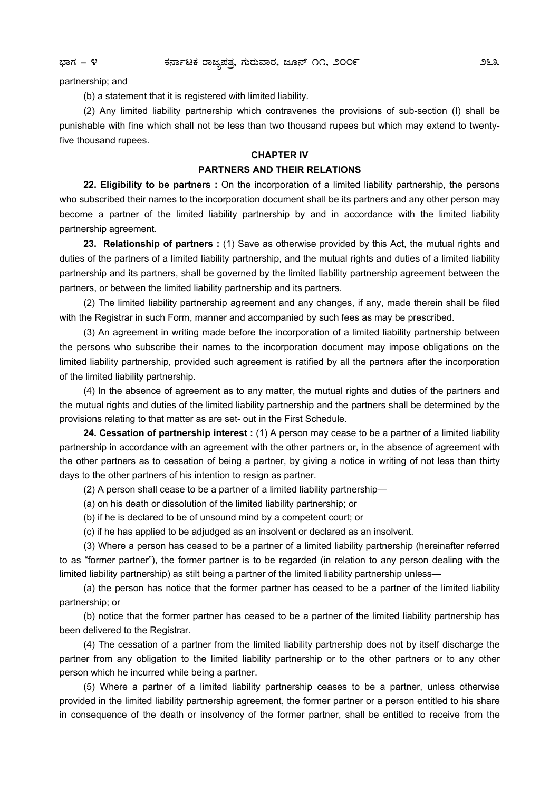partnership; and

(b) a statement that it is registered with limited liability.

(2) Any limited liability partnership which contravenes the provisions of sub-section (I) shall be punishable with fine which shall not be less than two thousand rupees but which may extend to twentyfive thousand rupees.

### **CHAPTER IV**

### **PARTNERS AND THEIR RELATIONS**

**22. Eligibility to be partners :** On the incorporation of a limited liability partnership, the persons who subscribed their names to the incorporation document shall be its partners and any other person may become a partner of the limited liability partnership by and in accordance with the limited liability partnership agreement.

**23. Relationship of partners :** (1) Save as otherwise provided by this Act, the mutual rights and duties of the partners of a limited liability partnership, and the mutual rights and duties of a limited liability partnership and its partners, shall be governed by the limited liability partnership agreement between the partners, or between the limited liability partnership and its partners.

(2) The limited liability partnership agreement and any changes, if any, made therein shall be filed with the Registrar in such Form, manner and accompanied by such fees as may be prescribed.

(3) An agreement in writing made before the incorporation of a limited liability partnership between the persons who subscribe their names to the incorporation document may impose obligations on the limited liability partnership, provided such agreement is ratified by all the partners after the incorporation of the limited liability partnership.

(4) In the absence of agreement as to any matter, the mutual rights and duties of the partners and the mutual rights and duties of the limited liability partnership and the partners shall be determined by the provisions relating to that matter as are set- out in the First Schedule.

**24. Cessation of partnership interest :** (1) A person may cease to be a partner of a limited liability partnership in accordance with an agreement with the other partners or, in the absence of agreement with the other partners as to cessation of being a partner, by giving a notice in writing of not less than thirty days to the other partners of his intention to resign as partner.

(2) A person shall cease to be a partner of a limited liability partnership—

(a) on his death or dissolution of the limited liability partnership; or

(b) if he is declared to be of unsound mind by a competent court; or

(c) if he has applied to be adjudged as an insolvent or declared as an insolvent.

(3) Where a person has ceased to be a partner of a limited liability partnership (hereinafter referred to as "former partner"), the former partner is to be regarded (in relation to any person dealing with the limited liability partnership) as stilt being a partner of the limited liability partnership unless—

(a) the person has notice that the former partner has ceased to be a partner of the limited liability partnership; or

(b) notice that the former partner has ceased to be a partner of the limited liability partnership has been delivered to the Registrar.

(4) The cessation of a partner from the limited liability partnership does not by itself discharge the partner from any obligation to the limited liability partnership or to the other partners or to any other person which he incurred while being a partner.

(5) Where a partner of a limited liability partnership ceases to be a partner, unless otherwise provided in the limited liability partnership agreement, the former partner or a person entitled to his share in consequence of the death or insolvency of the former partner, shall be entitled to receive from the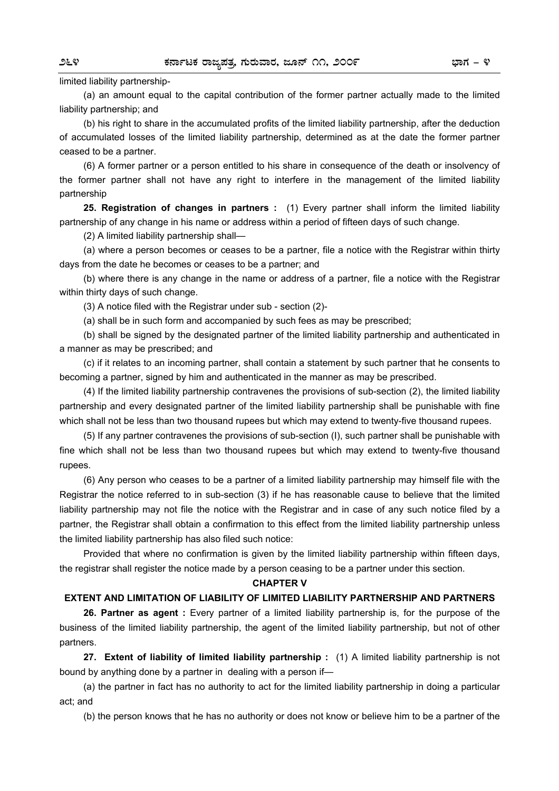### limited liability partnership-

(a) an amount equal to the capital contribution of the former partner actually made to the limited liability partnership; and

(b) his right to share in the accumulated profits of the limited liability partnership, after the deduction of accumulated losses of the limited liability partnership, determined as at the date the former partner ceased to be a partner.

(6) A former partner or a person entitled to his share in consequence of the death or insolvency of the former partner shall not have any right to interfere in the management of the limited liability partnership

**25. Registration of changes in partners :** (1) Every partner shall inform the limited liability partnership of any change in his name or address within a period of fifteen days of such change.

(2) A limited liability partnership shall—

(a) where a person becomes or ceases to be a partner, file a notice with the Registrar within thirty days from the date he becomes or ceases to be a partner; and

(b) where there is any change in the name or address of a partner, file a notice with the Registrar within thirty days of such change.

(3) A notice filed with the Registrar under sub - section (2)-

(a) shall be in such form and accompanied by such fees as may be prescribed;

(b) shall be signed by the designated partner of the limited liability partnership and authenticated in a manner as may be prescribed; and

(c) if it relates to an incoming partner, shall contain a statement by such partner that he consents to becoming a partner, signed by him and authenticated in the manner as may be prescribed.

(4) If the limited liability partnership contravenes the provisions of sub-section (2), the limited liability partnership and every designated partner of the limited liability partnership shall be punishable with fine which shall not be less than two thousand rupees but which may extend to twenty-five thousand rupees.

(5) If any partner contravenes the provisions of sub-section (I), such partner shall be punishable with fine which shall not be less than two thousand rupees but which may extend to twenty-five thousand rupees.

(6) Any person who ceases to be a partner of a limited liability partnership may himself file with the Registrar the notice referred to in sub-section (3) if he has reasonable cause to believe that the limited liability partnership may not file the notice with the Registrar and in case of any such notice filed by a partner, the Registrar shall obtain a confirmation to this effect from the limited liability partnership unless the limited liability partnership has also filed such notice:

Provided that where no confirmation is given by the limited liability partnership within fifteen days, the registrar shall register the notice made by a person ceasing to be a partner under this section.

### **CHAPTER V**

### **EXTENT AND LIMITATION OF LIABILITY OF LIMITED LIABILITY PARTNERSHIP AND PARTNERS**

**26. Partner as agent :** Every partner of a limited liability partnership is, for the purpose of the business of the limited liability partnership, the agent of the limited liability partnership, but not of other partners.

**27. Extent of liability of limited liability partnership :** (1) A limited liability partnership is not bound by anything done by a partner in dealing with a person if—

(a) the partner in fact has no authority to act for the limited liability partnership in doing a particular act; and

(b) the person knows that he has no authority or does not know or believe him to be a partner of the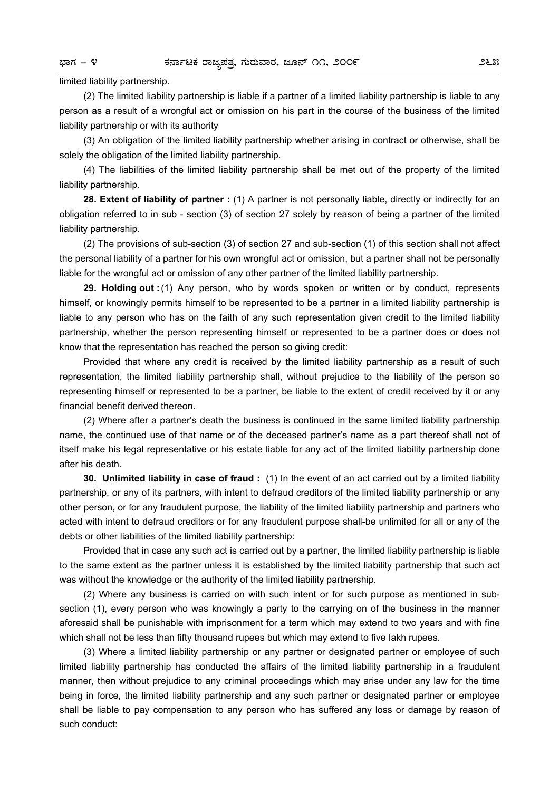### limited liability partnership.

(2) The limited liability partnership is liable if a partner of a limited liability partnership is liable to any person as a result of a wrongful act or omission on his part in the course of the business of the limited liability partnership or with its authority

(3) An obligation of the limited liability partnership whether arising in contract or otherwise, shall be solely the obligation of the limited liability partnership.

(4) The liabilities of the limited liability partnership shall be met out of the property of the limited liability partnership.

**28. Extent of liability of partner :** (1) A partner is not personally liable, directly or indirectly for an obligation referred to in sub - section (3) of section 27 solely by reason of being a partner of the limited liability partnership.

(2) The provisions of sub-section (3) of section 27 and sub-section (1) of this section shall not affect the personal liability of a partner for his own wrongful act or omission, but a partner shall not be personally liable for the wrongful act or omission of any other partner of the limited liability partnership.

**29. Holding out :** (1) Any person, who by words spoken or written or by conduct, represents himself, or knowingly permits himself to be represented to be a partner in a limited liability partnership is liable to any person who has on the faith of any such representation given credit to the limited liability partnership, whether the person representing himself or represented to be a partner does or does not know that the representation has reached the person so giving credit:

Provided that where any credit is received by the limited liability partnership as a result of such representation, the limited liability partnership shall, without prejudice to the liability of the person so representing himself or represented to be a partner, be liable to the extent of credit received by it or any financial benefit derived thereon.

(2) Where after a partner's death the business is continued in the same limited liability partnership name, the continued use of that name or of the deceased partner's name as a part thereof shall not of itself make his legal representative or his estate liable for any act of the limited liability partnership done after his death.

**30. Unlimited liability in case of fraud :** (1) In the event of an act carried out by a limited liability partnership, or any of its partners, with intent to defraud creditors of the limited liability partnership or any other person, or for any fraudulent purpose, the liability of the limited liability partnership and partners who acted with intent to defraud creditors or for any fraudulent purpose shall-be unlimited for all or any of the debts or other liabilities of the limited liability partnership:

Provided that in case any such act is carried out by a partner, the limited liability partnership is liable to the same extent as the partner unless it is established by the limited liability partnership that such act was without the knowledge or the authority of the limited liability partnership.

(2) Where any business is carried on with such intent or for such purpose as mentioned in subsection (1), every person who was knowingly a party to the carrying on of the business in the manner aforesaid shall be punishable with imprisonment for a term which may extend to two years and with fine which shall not be less than fifty thousand rupees but which may extend to five Iakh rupees.

(3) Where a limited liability partnership or any partner or designated partner or employee of such limited liability partnership has conducted the affairs of the limited liability partnership in a fraudulent manner, then without prejudice to any criminal proceedings which may arise under any law for the time being in force, the limited liability partnership and any such partner or designated partner or employee shall be liable to pay compensation to any person who has suffered any loss or damage by reason of such conduct: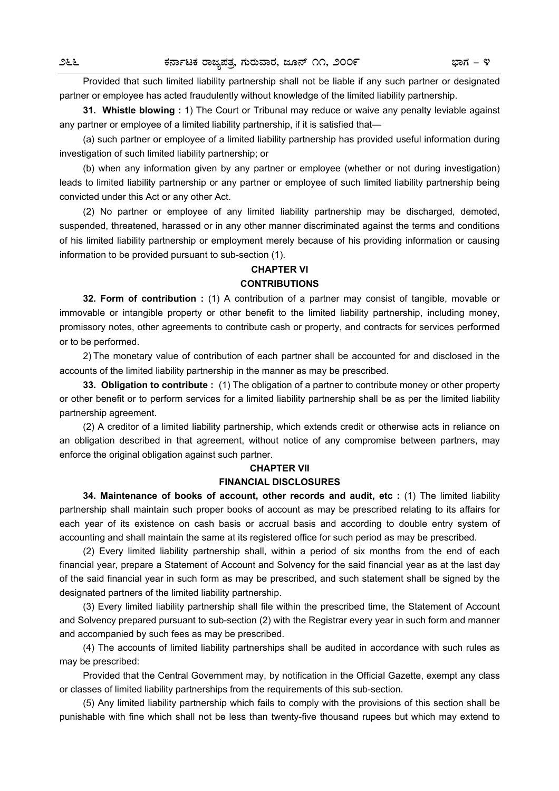Provided that such limited liability partnership shall not be liable if any such partner or designated partner or employee has acted fraudulently without knowledge of the limited liability partnership.

**31. Whistle blowing :** 1) The Court or Tribunal may reduce or waive any penalty leviable against any partner or employee of a limited liability partnership, if it is satisfied that—

(a) such partner or employee of a limited liability partnership has provided useful information during investigation of such limited liability partnership; or

(b) when any information given by any partner or employee (whether or not during investigation) leads to limited liability partnership or any partner or employee of such limited liability partnership being convicted under this Act or any other Act.

(2) No partner or employee of any limited liability partnership may be discharged, demoted, suspended, threatened, harassed or in any other manner discriminated against the terms and conditions of his limited liability partnership or employment merely because of his providing information or causing information to be provided pursuant to sub-section (1).

### **CHAPTER VI**

### **CONTRIBUTIONS**

**32. Form of contribution :** (1) A contribution of a partner may consist of tangible, movable or immovable or intangible property or other benefit to the limited liability partnership, including money, promissory notes, other agreements to contribute cash or property, and contracts for services performed or to be performed.

2) The monetary value of contribution of each partner shall be accounted for and disclosed in the accounts of the limited liability partnership in the manner as may be prescribed.

**33. Obligation to contribute :** (1) The obligation of a partner to contribute money or other property or other benefit or to perform services for a limited liability partnership shall be as per the limited liability partnership agreement.

(2) A creditor of a limited liability partnership, which extends credit or otherwise acts in reliance on an obligation described in that agreement, without notice of any compromise between partners, may enforce the original obligation against such partner.

### **CHAPTER VII FINANCIAL DISCLOSURES**

**34. Maintenance of books of account, other records and audit, etc :** (1) The limited liability partnership shall maintain such proper books of account as may be prescribed relating to its affairs for each year of its existence on cash basis or accrual basis and according to double entry system of accounting and shall maintain the same at its registered office for such period as may be prescribed.

(2) Every limited liability partnership shall, within a period of six months from the end of each financial year, prepare a Statement of Account and Solvency for the said financial year as at the last day of the said financial year in such form as may be prescribed, and such statement shall be signed by the designated partners of the limited liability partnership.

(3) Every limited liability partnership shall file within the prescribed time, the Statement of Account and Solvency prepared pursuant to sub-section (2) with the Registrar every year in such form and manner and accompanied by such fees as may be prescribed.

(4) The accounts of limited liability partnerships shall be audited in accordance with such rules as may be prescribed:

Provided that the Central Government may, by notification in the Official Gazette, exempt any class or classes of limited liability partnerships from the requirements of this sub-section.

(5) Any limited liability partnership which fails to comply with the provisions of this section shall be punishable with fine which shall not be less than twenty-five thousand rupees but which may extend to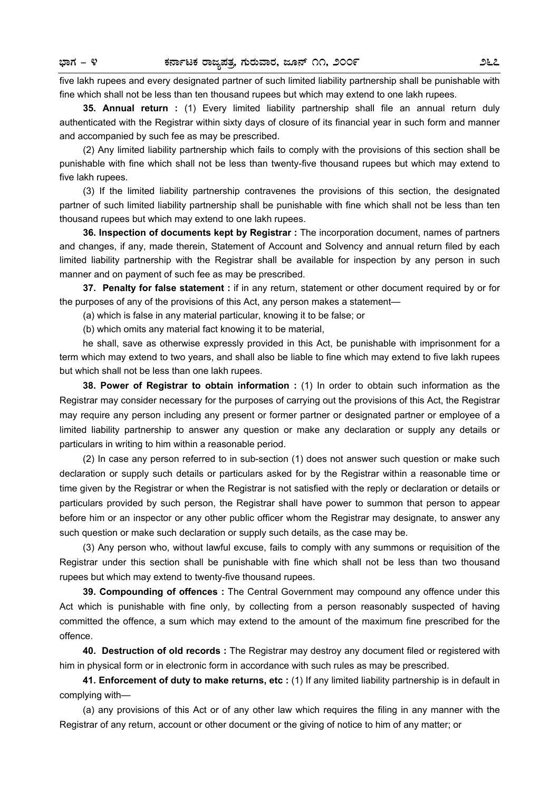five lakh rupees and every designated partner of such limited liability partnership shall be punishable with fine which shall not be less than ten thousand rupees but which may extend to one lakh rupees.

**35. Annual return :** (1) Every limited liability partnership shall file an annual return duly authenticated with the Registrar within sixty days of closure of its financial year in such form and manner and accompanied by such fee as may be prescribed.

(2) Any limited liability partnership which fails to comply with the provisions of this section shall be punishable with fine which shall not be less than twenty-five thousand rupees but which may extend to five lakh rupees.

(3) If the limited liability partnership contravenes the provisions of this section, the designated partner of such limited liability partnership shall be punishable with fine which shall not be less than ten thousand rupees but which may extend to one lakh rupees.

**36. Inspection of documents kept by Registrar :** The incorporation document, names of partners and changes, if any, made therein, Statement of Account and Solvency and annual return filed by each limited liability partnership with the Registrar shall be available for inspection by any person in such manner and on payment of such fee as may be prescribed.

**37. Penalty for false statement :** if in any return, statement or other document required by or for the purposes of any of the provisions of this Act, any person makes a statement—

(a) which is false in any material particular, knowing it to be false; or

(b) which omits any material fact knowing it to be material,

 he shall, save as otherwise expressly provided in this Act, be punishable with imprisonment for a term which may extend to two years, and shall also be liable to fine which may extend to five lakh rupees but which shall not be less than one lakh rupees.

 **38. Power of Registrar to obtain information :** (1) In order to obtain such information as the Registrar may consider necessary for the purposes of carrying out the provisions of this Act, the Registrar may require any person including any present or former partner or designated partner or employee of a limited liability partnership to answer any question or make any declaration or supply any details or particulars in writing to him within a reasonable period.

 (2) In case any person referred to in sub-section (1) does not answer such question or make such declaration or supply such details or particulars asked for by the Registrar within a reasonable time or time given by the Registrar or when the Registrar is not satisfied with the reply or declaration or details or particulars provided by such person, the Registrar shall have power to summon that person to appear before him or an inspector or any other public officer whom the Registrar may designate, to answer any such question or make such declaration or supply such details, as the case may be.

 (3) Any person who, without lawful excuse, fails to comply with any summons or requisition of the Registrar under this section shall be punishable with fine which shall not be less than two thousand rupees but which may extend to twenty-five thousand rupees.

 **39. Compounding of offences :** The Central Government may compound any offence under this Act which is punishable with fine only, by collecting from a person reasonably suspected of having committed the offence, a sum which may extend to the amount of the maximum fine prescribed for the offence.

 **40. Destruction of old records :** The Registrar may destroy any document filed or registered with him in physical form or in electronic form in accordance with such rules as may be prescribed.

 **41. Enforcement of duty to make returns, etc :** (1) If any limited liability partnership is in default in complying with—

 (a) any provisions of this Act or of any other law which requires the filing in any manner with the Registrar of any return, account or other document or the giving of notice to him of any matter; or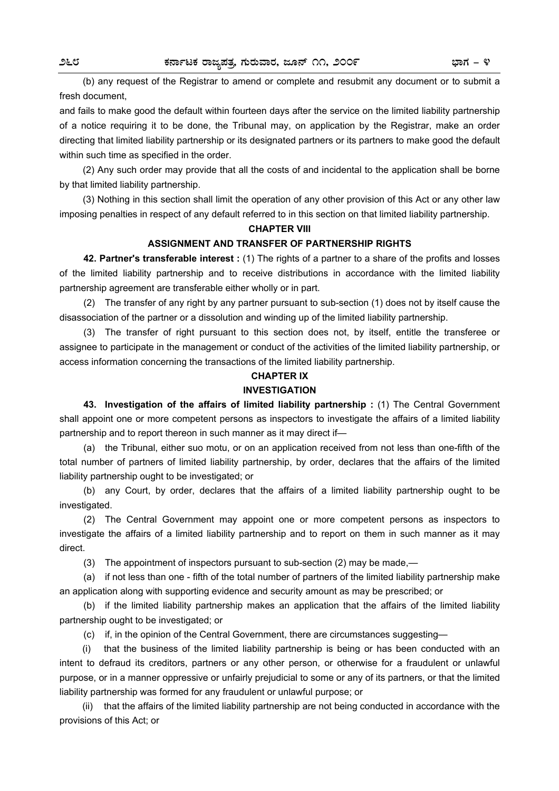(b) any request of the Registrar to amend or complete and resubmit any document or to submit a fresh document,

and fails to make good the default within fourteen days after the service on the limited liability partnership of a notice requiring it to be done, the Tribunal may, on application by the Registrar, make an order directing that limited liability partnership or its designated partners or its partners to make good the default within such time as specified in the order.

 (2) Any such order may provide that all the costs of and incidental to the application shall be borne by that limited liability partnership.

 (3) Nothing in this section shall limit the operation of any other provision of this Act or any other law imposing penalties in respect of any default referred to in this section on that limited liability partnership.

### **CHAPTER VIII**

### **ASSIGNMENT AND TRANSFER OF PARTNERSHIP RIGHTS**

 **42. Partner's transferable interest :** (1) The rights of a partner to a share of the profits and losses of the limited liability partnership and to receive distributions in accordance with the limited liability partnership agreement are transferable either wholly or in part.

 (2) The transfer of any right by any partner pursuant to sub-section (1) does not by itself cause the disassociation of the partner or a dissolution and winding up of the limited liability partnership.

 (3) The transfer of right pursuant to this section does not, by itself, entitle the transferee or assignee to participate in the management or conduct of the activities of the limited liability partnership, or access information concerning the transactions of the limited liability partnership.

# **CHAPTER IX**

# **INVESTIGATION**

 **43. Investigation of the affairs of limited liability partnership :** (1) The Central Government shall appoint one or more competent persons as inspectors to investigate the affairs of a limited liability partnership and to report thereon in such manner as it may direct if—

 (a) the Tribunal, either suo motu, or on an application received from not less than one-fifth of the total number of partners of limited liability partnership, by order, declares that the affairs of the limited liability partnership ought to be investigated; or

 (b) any Court, by order, declares that the affairs of a limited liability partnership ought to be investigated.

 (2) The Central Government may appoint one or more competent persons as inspectors to investigate the affairs of a limited liability partnership and to report on them in such manner as it may direct.

(3) The appointment of inspectors pursuant to sub-section (2) may be made,—

 (a) if not less than one - fifth of the total number of partners of the limited liability partnership make an application along with supporting evidence and security amount as may be prescribed; or

 (b) if the limited liability partnership makes an application that the affairs of the limited liability partnership ought to be investigated; or

(c) if, in the opinion of the Central Government, there are circumstances suggesting—

 (i) that the business of the limited liability partnership is being or has been conducted with an intent to defraud its creditors, partners or any other person, or otherwise for a fraudulent or unlawful purpose, or in a manner oppressive or unfairly prejudicial to some or any of its partners, or that the limited liability partnership was formed for any fraudulent or unlawful purpose; or

 (ii) that the affairs of the limited liability partnership are not being conducted in accordance with the provisions of this Act; or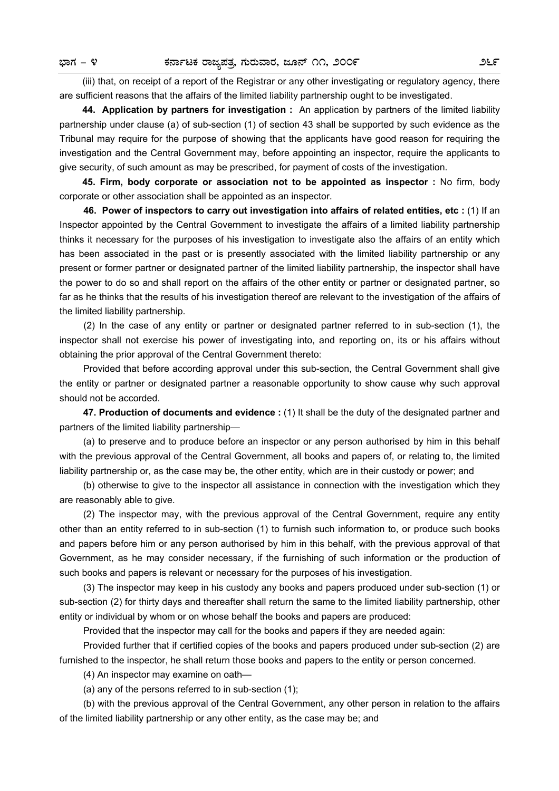(iii) that, on receipt of a report of the Registrar or any other investigating or regulatory agency, there are sufficient reasons that the affairs of the limited liability partnership ought to be investigated.

 **44. Application by partners for investigation :** An application by partners of the limited liability partnership under clause (a) of sub-section (1) of section 43 shall be supported by such evidence as the Tribunal may require for the purpose of showing that the applicants have good reason for requiring the investigation and the Central Government may, before appointing an inspector, require the applicants to give security, of such amount as may be prescribed, for payment of costs of the investigation.

 **45. Firm, body corporate or association not to be appointed as inspector :** No firm, body corporate or other association shall be appointed as an inspector.

**46. Power of inspectors to carry out investigation into affairs of related entities, etc :** (1) If an Inspector appointed by the Central Government to investigate the affairs of a limited liability partnership thinks it necessary for the purposes of his investigation to investigate also the affairs of an entity which has been associated in the past or is presently associated with the limited liability partnership or any present or former partner or designated partner of the limited liability partnership, the inspector shall have the power to do so and shall report on the affairs of the other entity or partner or designated partner, so far as he thinks that the results of his investigation thereof are relevant to the investigation of the affairs of the limited liability partnership.

(2) In the case of any entity or partner or designated partner referred to in sub-section (1), the inspector shall not exercise his power of investigating into, and reporting on, its or his affairs without obtaining the prior approval of the Central Government thereto:

Provided that before according approval under this sub-section, the Central Government shall give the entity or partner or designated partner a reasonable opportunity to show cause why such approval should not be accorded.

**47. Production of documents and evidence :** (1) It shall be the duty of the designated partner and partners of the limited liability partnership—

(a) to preserve and to produce before an inspector or any person authorised by him in this behalf with the previous approval of the Central Government, all books and papers of, or relating to, the limited liability partnership or, as the case may be, the other entity, which are in their custody or power; and

(b) otherwise to give to the inspector all assistance in connection with the investigation which they are reasonably able to give.

(2) The inspector may, with the previous approval of the Central Government, require any entity other than an entity referred to in sub-section (1) to furnish such information to, or produce such books and papers before him or any person authorised by him in this behalf, with the previous approval of that Government, as he may consider necessary, if the furnishing of such information or the production of such books and papers is relevant or necessary for the purposes of his investigation.

(3) The inspector may keep in his custody any books and papers produced under sub-section (1) or sub-section (2) for thirty days and thereafter shall return the same to the limited liability partnership, other entity or individual by whom or on whose behalf the books and papers are produced:

Provided that the inspector may call for the books and papers if they are needed again:

Provided further that if certified copies of the books and papers produced under sub-section (2) are furnished to the inspector, he shall return those books and papers to the entity or person concerned.

(4) An inspector may examine on oath—

(a) any of the persons referred to in sub-section (1);

(b) with the previous approval of the Central Government, any other person in relation to the affairs of the limited liability partnership or any other entity, as the case may be; and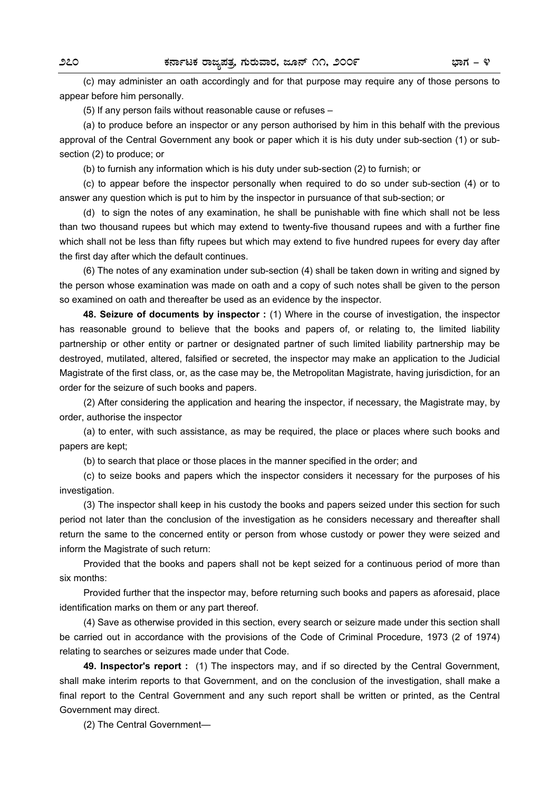(c) may administer an oath accordingly and for that purpose may require any of those persons to appear before him personally.

(5) If any person fails without reasonable cause or refuses –

(a) to produce before an inspector or any person authorised by him in this behalf with the previous approval of the Central Government any book or paper which it is his duty under sub-section (1) or subsection (2) to produce; or

(b) to furnish any information which is his duty under sub-section (2) to furnish; or

(c) to appear before the inspector personally when required to do so under sub-section (4) or to answer any question which is put to him by the inspector in pursuance of that sub-section; or

(d) to sign the notes of any examination, he shall be punishable with fine which shall not be less than two thousand rupees but which may extend to twenty-five thousand rupees and with a further fine which shall not be less than fifty rupees but which may extend to five hundred rupees for every day after the first day after which the default continues.

(6) The notes of any examination under sub-section (4) shall be taken down in writing and signed by the person whose examination was made on oath and a copy of such notes shall be given to the person so examined on oath and thereafter be used as an evidence by the inspector.

**48. Seizure of documents by inspector :** (1) Where in the course of investigation, the inspector has reasonable ground to believe that the books and papers of, or relating to, the limited liability partnership or other entity or partner or designated partner of such limited liability partnership may be destroyed, mutilated, altered, falsified or secreted, the inspector may make an application to the Judicial Magistrate of the first class, or, as the case may be, the Metropolitan Magistrate, having jurisdiction, for an order for the seizure of such books and papers.

(2) After considering the application and hearing the inspector, if necessary, the Magistrate may, by order, authorise the inspector

(a) to enter, with such assistance, as may be required, the place or places where such books and papers are kept;

(b) to search that place or those places in the manner specified in the order; and

(c) to seize books and papers which the inspector considers it necessary for the purposes of his investigation.

(3) The inspector shall keep in his custody the books and papers seized under this section for such period not later than the conclusion of the investigation as he considers necessary and thereafter shall return the same to the concerned entity or person from whose custody or power they were seized and inform the Magistrate of such return:

Provided that the books and papers shall not be kept seized for a continuous period of more than six months:

Provided further that the inspector may, before returning such books and papers as aforesaid, place identification marks on them or any part thereof.

(4) Save as otherwise provided in this section, every search or seizure made under this section shall be carried out in accordance with the provisions of the Code of Criminal Procedure, 1973 (2 of 1974) relating to searches or seizures made under that Code.

**49. Inspector's report :** (1) The inspectors may, and if so directed by the Central Government, shall make interim reports to that Government, and on the conclusion of the investigation, shall make a final report to the Central Government and any such report shall be written or printed, as the Central Government may direct.

(2) The Central Government—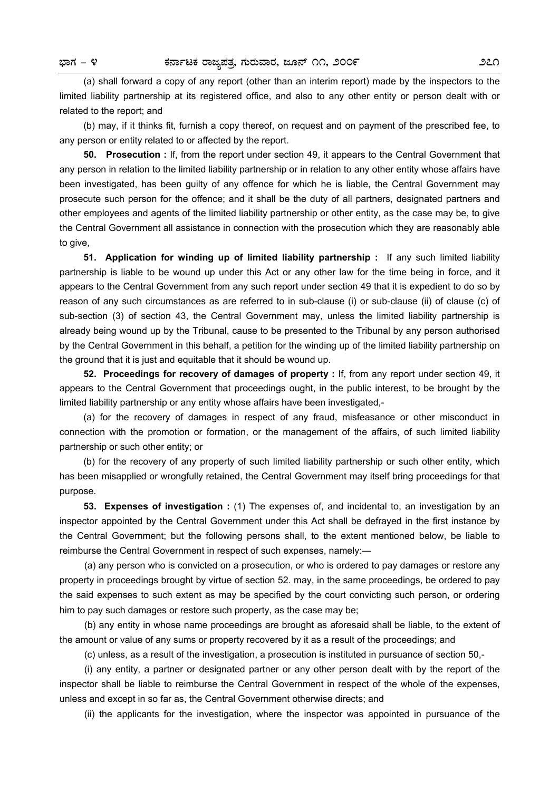(a) shall forward a copy of any report (other than an interim report) made by the inspectors to the limited liability partnership at its registered office, and also to any other entity or person dealt with or related to the report; and

(b) may, if it thinks fit, furnish a copy thereof, on request and on payment of the prescribed fee, to any person or entity related to or affected by the report.

**50. Prosecution :** If, from the report under section 49, it appears to the Central Government that any person in relation to the limited liability partnership or in relation to any other entity whose affairs have been investigated, has been guilty of any offence for which he is liable, the Central Government may prosecute such person for the offence; and it shall be the duty of all partners, designated partners and other employees and agents of the limited liability partnership or other entity, as the case may be, to give the Central Government all assistance in connection with the prosecution which they are reasonably able to give.

**51. Application for winding up of limited liability partnership :** If any such limited liability partnership is liable to be wound up under this Act or any other law for the time being in force, and it appears to the Central Government from any such report under section 49 that it is expedient to do so by reason of any such circumstances as are referred to in sub-clause (i) or sub-clause (ii) of clause (c) of sub-section (3) of section 43, the Central Government may, unless the limited liability partnership is already being wound up by the Tribunal, cause to be presented to the Tribunal by any person authorised by the Central Government in this behalf, a petition for the winding up of the limited liability partnership on the ground that it is just and equitable that it should be wound up.

**52. Proceedings for recovery of damages of property :** If, from any report under section 49, it appears to the Central Government that proceedings ought, in the public interest, to be brought by the limited liability partnership or any entity whose affairs have been investigated,-

(a) for the recovery of damages in respect of any fraud, misfeasance or other misconduct in connection with the promotion or formation, or the management of the affairs, of such limited liability partnership or such other entity; or

(b) for the recovery of any property of such limited liability partnership or such other entity, which has been misapplied or wrongfully retained, the Central Government may itself bring proceedings for that purpose.

**53. Expenses of investigation :** (1) The expenses of, and incidental to, an investigation by an inspector appointed by the Central Government under this Act shall be defrayed in the first instance by the Central Government; but the following persons shall, to the extent mentioned below, be liable to reimburse the Central Government in respect of such expenses, namely:—

(a) any person who is convicted on a prosecution, or who is ordered to pay damages or restore any property in proceedings brought by virtue of section 52. may, in the same proceedings, be ordered to pay the said expenses to such extent as may be specified by the court convicting such person, or ordering him to pay such damages or restore such property, as the case may be;

(b) any entity in whose name proceedings are brought as aforesaid shall be liable, to the extent of the amount or value of any sums or property recovered by it as a result of the proceedings; and

(c) unless, as a result of the investigation, a prosecution is instituted in pursuance of section 50,-

(i) any entity, a partner or designated partner or any other person dealt with by the report of the inspector shall be liable to reimburse the Central Government in respect of the whole of the expenses, unless and except in so far as, the Central Government otherwise directs; and

(ii) the applicants for the investigation, where the inspector was appointed in pursuance of the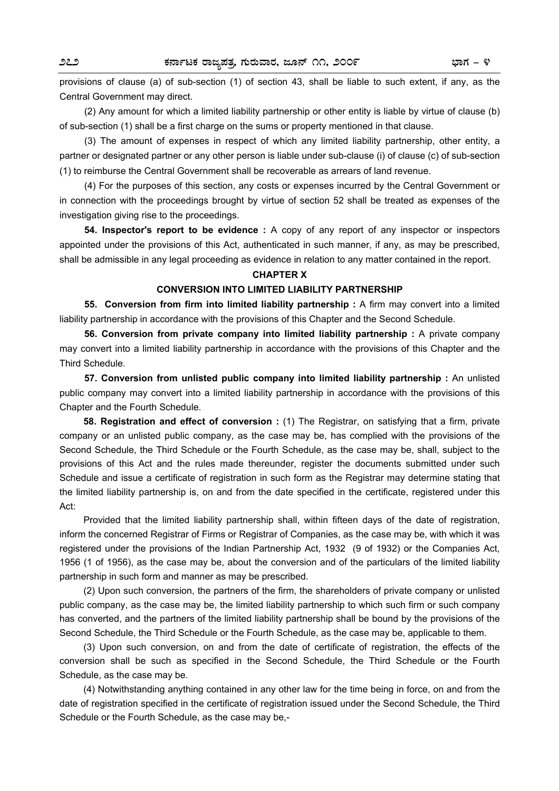provisions of clause (a) of sub-section (1) of section 43, shall be liable to such extent, if any, as the Central Government may direct.

(2) Any amount for which a limited liability partnership or other entity is liable by virtue of clause (b) of sub-section (1) shall be a first charge on the sums or property mentioned in that clause.

(3) The amount of expenses in respect of which any limited liability partnership, other entity, a partner or designated partner or any other person is liable under sub-clause (i) of clause (c) of sub-section (1) to reimburse the Central Government shall be recoverable as arrears of land revenue.

(4) For the purposes of this section, any costs or expenses incurred by the Central Government or in connection with the proceedings brought by virtue of section 52 shall be treated as expenses of the investigation giving rise to the proceedings.

**54. Inspector's report to be evidence :** A copy of any report of any inspector or inspectors appointed under the provisions of this Act, authenticated in such manner, if any, as may be prescribed, shall be admissible in any legal proceeding as evidence in relation to any matter contained in the report.

### **CHAPTER X**

### **CONVERSION INTO LIMITED LIABILITY PARTNERSHIP**

**55. Conversion from firm into limited liability partnership:** A firm may convert into a limited liability partnership in accordance with the provisions of this Chapter and the Second Schedule.

**56. Conversion from private company into limited liability partnership :** A private company may convert into a limited liability partnership in accordance with the provisions of this Chapter and the Third Schedule.

**57. Conversion from unlisted public company into limited liability partnership :** An unlisted public company may convert into a limited liability partnership in accordance with the provisions of this Chapter and the Fourth Schedule.

 **58. Registration and effect of conversion :** (1) The Registrar, on satisfying that a firm, private company or an unlisted public company, as the case may be, has complied with the provisions of the Second Schedule, the Third Schedule or the Fourth Schedule, as the case may be, shall, subject to the provisions of this Act and the rules made thereunder, register the documents submitted under such Schedule and issue a certificate of registration in such form as the Registrar may determine stating that the limited liability partnership is, on and from the date specified in the certificate, registered under this Act:

 Provided that the limited liability partnership shall, within fifteen days of the date of registration, inform the concerned Registrar of Firms or Registrar of Companies, as the case may be, with which it was registered under the provisions of the Indian Partnership Act, 1932 (9 of 1932) or the Companies Act, 1956 (1 of 1956), as the case may be, about the conversion and of the particulars of the limited liability partnership in such form and manner as may be prescribed.

 (2) Upon such conversion, the partners of the firm, the shareholders of private company or unlisted public company, as the case may be, the limited liability partnership to which such firm or such company has converted, and the partners of the limited liability partnership shall be bound by the provisions of the Second Schedule, the Third Schedule or the Fourth Schedule, as the case may be, applicable to them.

 (3) Upon such conversion, on and from the date of certificate of registration, the effects of the conversion shall be such as specified in the Second Schedule, the Third Schedule or the Fourth Schedule, as the case may be.

 (4) Notwithstanding anything contained in any other law for the time being in force, on and from the date of registration specified in the certificate of registration issued under the Second Schedule, the Third Schedule or the Fourth Schedule, as the case may be,-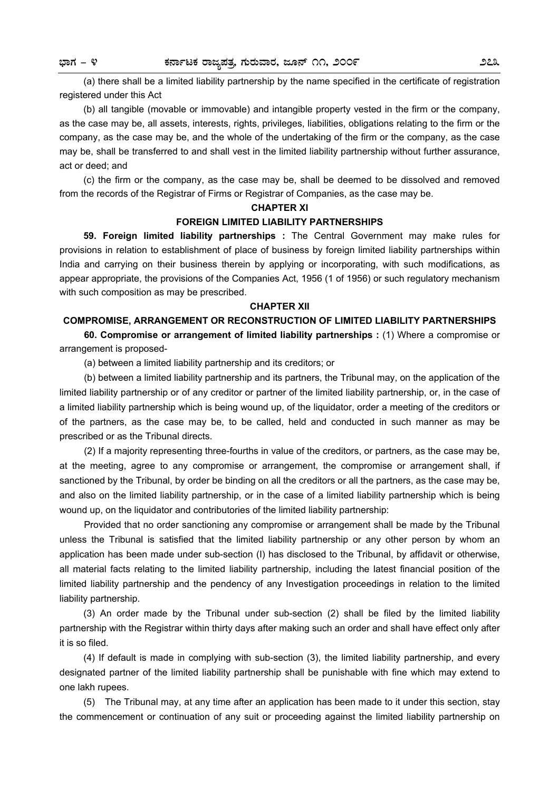(a) there shall be a limited liability partnership by the name specified in the certificate of registration registered under this Act

 (b) all tangible (movable or immovable) and intangible property vested in the firm or the company, as the case may be, all assets, interests, rights, privileges, liabilities, obligations relating to the firm or the company, as the case may be, and the whole of the undertaking of the firm or the company, as the case may be, shall be transferred to and shall vest in the limited liability partnership without further assurance, act or deed; and

 (c) the firm or the company, as the case may be, shall be deemed to be dissolved and removed from the records of the Registrar of Firms or Registrar of Companies, as the case may be.

#### **CHAPTER XI**

### **FOREIGN LIMITED LIABILITY PARTNERSHIPS**

**59. Foreign limited liability partnerships :** The Central Government may make rules for provisions in relation to establishment of place of business by foreign limited liability partnerships within India and carrying on their business therein by applying or incorporating, with such modifications, as appear appropriate, the provisions of the Companies Act, 1956 (1 of 1956) or such regulatory mechanism with such composition as may be prescribed.

### **CHAPTER XII**

### **COMPROMISE, ARRANGEMENT OR RECONSTRUCTION OF LIMITED LIABILITY PARTNERSHIPS**

 **60. Compromise or arrangement of limited liability partnerships :** (1) Where a compromise or arrangement is proposed-

(a) between a limited liability partnership and its creditors; or

 (b) between a limited liability partnership and its partners, the Tribunal may, on the application of the limited liability partnership or of any creditor or partner of the limited liability partnership, or, in the case of a limited liability partnership which is being wound up, of the liquidator, order a meeting of the creditors or of the partners, as the case may be, to be called, held and conducted in such manner as may be prescribed or as the Tribunal directs.

 (2) If a majority representing three-fourths in value of the creditors, or partners, as the case may be, at the meeting, agree to any compromise or arrangement, the compromise or arrangement shall, if sanctioned by the Tribunal, by order be binding on all the creditors or all the partners, as the case may be, and also on the limited liability partnership, or in the case of a limited liability partnership which is being wound up, on the liquidator and contributories of the limited liability partnership:

 Provided that no order sanctioning any compromise or arrangement shall be made by the Tribunal unless the Tribunal is satisfied that the limited liability partnership or any other person by whom an application has been made under sub-section (I) has disclosed to the Tribunal, by affidavit or otherwise, all material facts relating to the limited liability partnership, including the latest financial position of the limited liability partnership and the pendency of any Investigation proceedings in relation to the limited liability partnership.

(3) An order made by the Tribunal under sub-section (2) shall be filed by the limited liability partnership with the Registrar within thirty days after making such an order and shall have effect only after it is so filed.

(4) If default is made in complying with sub-section (3), the limited liability partnership, and every designated partner of the limited liability partnership shall be punishable with fine which may extend to one lakh rupees.

 (5) The Tribunal may, at any time after an application has been made to it under this section, stay the commencement or continuation of any suit or proceeding against the limited liability partnership on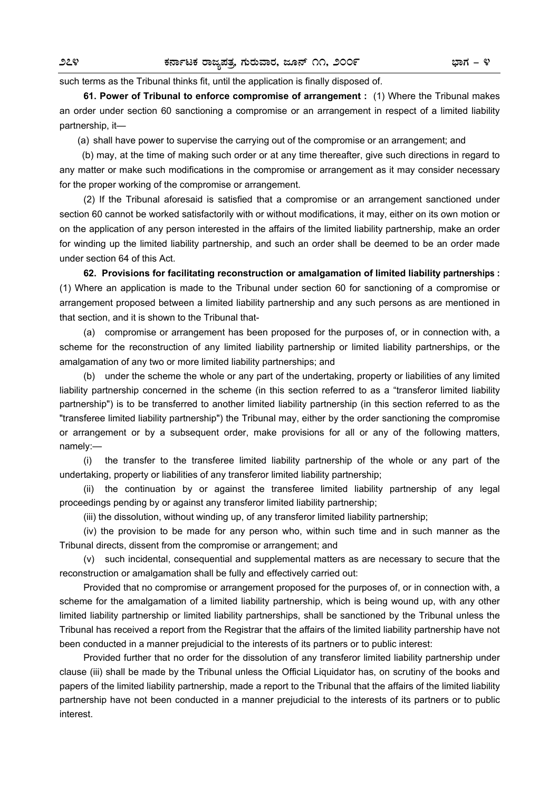such terms as the Tribunal thinks fit, until the application is finally disposed of.

**61. Power of Tribunal to enforce compromise of arrangement :** (1) Where the Tribunal makes an order under section 60 sanctioning a compromise or an arrangement in respect of a limited liability partnership, it—

(a) shall have power to supervise the carrying out of the compromise or an arrangement; and

 (b) may, at the time of making such order or at any time thereafter, give such directions in regard to any matter or make such modifications in the compromise or arrangement as it may consider necessary for the proper working of the compromise or arrangement.

(2) If the Tribunal aforesaid is satisfied that a compromise or an arrangement sanctioned under section 60 cannot be worked satisfactorily with or without modifications, it may, either on its own motion or on the application of any person interested in the affairs of the limited liability partnership, make an order for winding up the limited liability partnership, and such an order shall be deemed to be an order made under section 64 of this Act.

**62. Provisions for facilitating reconstruction or amalgamation of limited liability partnerships :** (1) Where an application is made to the Tribunal under section 60 for sanctioning of a compromise or arrangement proposed between a limited liability partnership and any such persons as are mentioned in that section, and it is shown to the Tribunal that-

(a) compromise or arrangement has been proposed for the purposes of, or in connection with, a scheme for the reconstruction of any limited liability partnership or limited liability partnerships, or the amalgamation of any two or more limited liability partnerships; and

(b) under the scheme the whole or any part of the undertaking, property or liabilities of any limited liability partnership concerned in the scheme (in this section referred to as a "transferor limited liability partnership") is to be transferred to another limited liability partnership (in this section referred to as the "transferee limited liability partnership") the Tribunal may, either by the order sanctioning the compromise or arrangement or by a subsequent order, make provisions for all or any of the following matters, namely:—

 (i) the transfer to the transferee limited liability partnership of the whole or any part of the undertaking, property or liabilities of any transferor limited liability partnership;

 (ii) the continuation by or against the transferee limited liability partnership of any legal proceedings pending by or against any transferor limited liability partnership;

(iii) the dissolution, without winding up, of any transferor limited liability partnership;

 (iv) the provision to be made for any person who, within such time and in such manner as the Tribunal directs, dissent from the compromise or arrangement; and

 (v) such incidental, consequential and supplemental matters as are necessary to secure that the reconstruction or amalgamation shall be fully and effectively carried out:

 Provided that no compromise or arrangement proposed for the purposes of, or in connection with, a scheme for the amalgamation of a limited liability partnership, which is being wound up, with any other limited liability partnership or limited liability partnerships, shall be sanctioned by the Tribunal unless the Tribunal has received a report from the Registrar that the affairs of the limited liability partnership have not been conducted in a manner prejudicial to the interests of its partners or to public interest:

 Provided further that no order for the dissolution of any transferor limited liability partnership under clause (iii) shall be made by the Tribunal unless the Official Liquidator has, on scrutiny of the books and papers of the limited liability partnership, made a report to the Tribunal that the affairs of the limited liability partnership have not been conducted in a manner prejudicial to the interests of its partners or to public interest.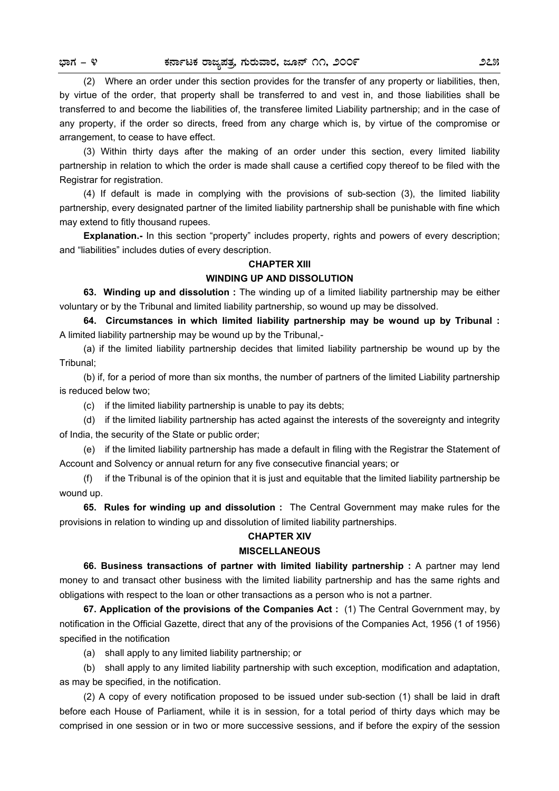(2) Where an order under this section provides for the transfer of any property or liabilities, then, by virtue of the order, that property shall be transferred to and vest in, and those liabilities shall be transferred to and become the liabilities of, the transferee limited Liability partnership; and in the case of any property, if the order so directs, freed from any charge which is, by virtue of the compromise or arrangement, to cease to have effect.

 (3) Within thirty days after the making of an order under this section, every limited liability partnership in relation to which the order is made shall cause a certified copy thereof to be filed with the Registrar for registration.

 (4) If default is made in complying with the provisions of sub-section (3), the limited liability partnership, every designated partner of the limited liability partnership shall be punishable with fine which may extend to fitly thousand rupees.

**Explanation.-** In this section "property" includes property, rights and powers of every description; and "liabilities" includes duties of every description.

### **CHAPTER XIII**

### **WINDING UP AND DISSOLUTION**

 **63. Winding up and dissolution :** The winding up of a limited liability partnership may be either voluntary or by the Tribunal and limited liability partnership, so wound up may be dissolved.

 **64. Circumstances in which limited liability partnership may be wound up by Tribunal :**  A limited liability partnership may be wound up by the Tribunal,-

 (a) if the limited liability partnership decides that limited liability partnership be wound up by the Tribunal;

 (b) if, for a period of more than six months, the number of partners of the limited Liability partnership is reduced below two;

(c) if the limited liability partnership is unable to pay its debts;

 (d) if the limited liability partnership has acted against the interests of the sovereignty and integrity of India, the security of the State or public order;

 (e) if the limited liability partnership has made a default in filing with the Registrar the Statement of Account and Solvency or annual return for any five consecutive financial years; or

 (f) if the Tribunal is of the opinion that it is just and equitable that the limited liability partnership be wound up.

**65. Rules for winding up and dissolution :** The Central Government may make rules for the provisions in relation to winding up and dissolution of limited liability partnerships.

### **CHAPTER XIV**

### **MISCELLANEOUS**

**66. Business transactions of partner with limited liability partnership :** A partner may lend money to and transact other business with the limited liability partnership and has the same rights and obligations with respect to the loan or other transactions as a person who is not a partner.

 **67. Application of the provisions of the Companies Act :** (1) The Central Government may, by notification in the Official Gazette, direct that any of the provisions of the Companies Act, 1956 (1 of 1956) specified in the notification

(a) shall apply to any limited liability partnership; or

 (b) shall apply to any limited liability partnership with such exception, modification and adaptation, as may be specified, in the notification.

(2) A copy of every notification proposed to be issued under sub-section (1) shall be laid in draft before each House of Parliament, while it is in session, for a total period of thirty days which may be comprised in one session or in two or more successive sessions, and if before the expiry of the session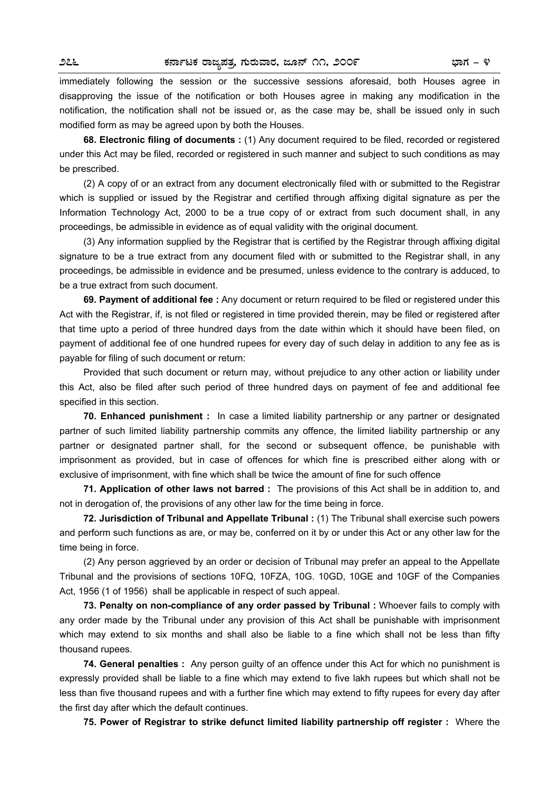immediately following the session or the successive sessions aforesaid, both Houses agree in disapproving the issue of the notification or both Houses agree in making any modification in the notification, the notification shall not be issued or, as the case may be, shall be issued only in such modified form as may be agreed upon by both the Houses.

 **68. Electronic filing of documents :** (1) Any document required to be filed, recorded or registered under this Act may be filed, recorded or registered in such manner and subject to such conditions as may be prescribed.

(2) A copy of or an extract from any document electronically filed with or submitted to the Registrar which is supplied or issued by the Registrar and certified through affixing digital signature as per the Information Technology Act, 2000 to be a true copy of or extract from such document shall, in any proceedings, be admissible in evidence as of equal validity with the original document.

(3) Any information supplied by the Registrar that is certified by the Registrar through affixing digital signature to be a true extract from any document filed with or submitted to the Registrar shall, in any proceedings, be admissible in evidence and be presumed, unless evidence to the contrary is adduced, to be a true extract from such document.

 **69. Payment of additional fee :** Any document or return required to be filed or registered under this Act with the Registrar, if, is not filed or registered in time provided therein, may be filed or registered after that time upto a period of three hundred days from the date within which it should have been filed, on payment of additional fee of one hundred rupees for every day of such delay in addition to any fee as is payable for filing of such document or return:

Provided that such document or return may, without prejudice to any other action or liability under this Act, also be filed after such period of three hundred days on payment of fee and additional fee specified in this section.

**70. Enhanced punishment :** In case a limited liability partnership or any partner or designated partner of such limited liability partnership commits any offence, the limited liability partnership or any partner or designated partner shall, for the second or subsequent offence, be punishable with imprisonment as provided, but in case of offences for which fine is prescribed either along with or exclusive of imprisonment, with fine which shall be twice the amount of fine for such offence

**71. Application of other laws not barred :** The provisions of this Act shall be in addition to, and not in derogation of, the provisions of any other law for the time being in force.

**72. Jurisdiction of Tribunal and Appellate Tribunal :** (1) The Tribunal shall exercise such powers and perform such functions as are, or may be, conferred on it by or under this Act or any other law for the time being in force.

(2) Any person aggrieved by an order or decision of Tribunal may prefer an appeal to the Appellate Tribunal and the provisions of sections 10FQ, 10FZA, 10G. 10GD, 10GE and 10GF of the Companies Act, 1956 (1 of 1956) shall be applicable in respect of such appeal.

**73. Penalty on non-compliance of any order passed by Tribunal :** Whoever fails to comply with any order made by the Tribunal under any provision of this Act shall be punishable with imprisonment which may extend to six months and shall also be liable to a fine which shall not be less than fifty thousand rupees.

**74. General penalties :** Any person guilty of an offence under this Act for which no punishment is expressly provided shall be liable to a fine which may extend to five lakh rupees but which shall not be less than five thousand rupees and with a further fine which may extend to fifty rupees for every day after the first day after which the default continues.

**75. Power of Registrar to strike defunct limited liability partnership off register :** Where the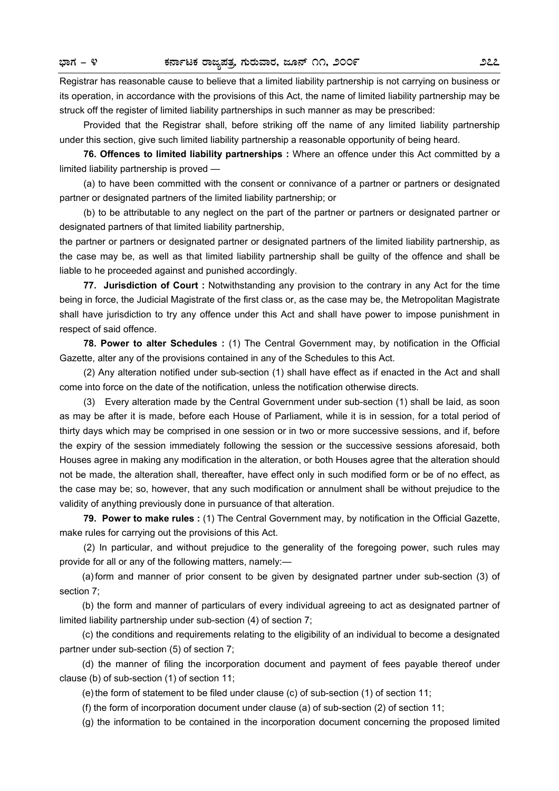Registrar has reasonable cause to believe that a limited liability partnership is not carrying on business or its operation, in accordance with the provisions of this Act, the name of limited liability partnership may be struck off the register of limited liability partnerships in such manner as may be prescribed:

Provided that the Registrar shall, before striking off the name of any limited liability partnership under this section, give such limited liability partnership a reasonable opportunity of being heard.

**76. Offences to limited liability partnerships :** Where an offence under this Act committed by a limited liability partnership is proved —

(a) to have been committed with the consent or connivance of a partner or partners or designated partner or designated partners of the limited liability partnership; or

(b) to be attributable to any neglect on the part of the partner or partners or designated partner or designated partners of that limited liability partnership,

the partner or partners or designated partner or designated partners of the limited liability partnership, as the case may be, as well as that limited liability partnership shall be guilty of the offence and shall be liable to he proceeded against and punished accordingly.

 **77. Jurisdiction of Court :** Notwithstanding any provision to the contrary in any Act for the time being in force, the Judicial Magistrate of the first class or, as the case may be, the Metropolitan Magistrate shall have jurisdiction to try any offence under this Act and shall have power to impose punishment in respect of said offence.

**78. Power to alter Schedules :** (1) The Central Government may, by notification in the Official Gazette, alter any of the provisions contained in any of the Schedules to this Act.

(2) Any alteration notified under sub-section (1) shall have effect as if enacted in the Act and shall come into force on the date of the notification, unless the notification otherwise directs.

 (3) Every alteration made by the Central Government under sub-section (1) shall be laid, as soon as may be after it is made, before each House of Parliament, while it is in session, for a total period of thirty days which may be comprised in one session or in two or more successive sessions, and if, before the expiry of the session immediately following the session or the successive sessions aforesaid, both Houses agree in making any modification in the alteration, or both Houses agree that the alteration should not be made, the alteration shall, thereafter, have effect only in such modified form or be of no effect, as the case may be; so, however, that any such modification or annulment shall be without prejudice to the validity of anything previously done in pursuance of that alteration.

**79. Power to make rules :** (1) The Central Government may, by notification in the Official Gazette, make rules for carrying out the provisions of this Act.

(2) In particular, and without prejudice to the generality of the foregoing power, such rules may provide for all or any of the following matters, namely:—

(a) form and manner of prior consent to be given by designated partner under sub-section (3) of section 7;

(b) the form and manner of particulars of every individual agreeing to act as designated partner of limited liability partnership under sub-section (4) of section 7;

(c) the conditions and requirements relating to the eligibility of an individual to become a designated partner under sub-section (5) of section 7;

(d) the manner of filing the incorporation document and payment of fees payable thereof under clause (b) of sub-section (1) of section 11;

(e) the form of statement to be filed under clause (c) of sub-section (1) of section 11;

(f) the form of incorporation document under clause (a) of sub-section (2) of section 11;

(g) the information to be contained in the incorporation document concerning the proposed limited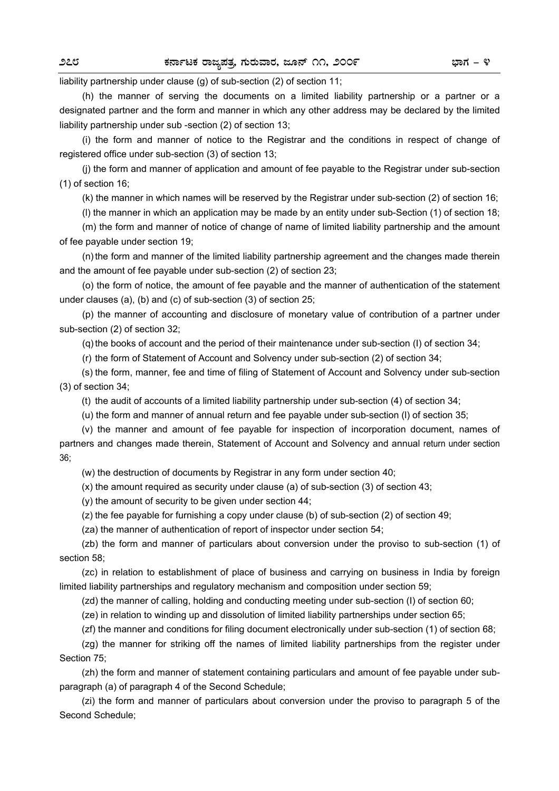liability partnership under clause (g) of sub-section (2) of section 11;

(h) the manner of serving the documents on a limited liability partnership or a partner or a designated partner and the form and manner in which any other address may be declared by the limited liability partnership under sub -section (2) of section 13;

(i) the form and manner of notice to the Registrar and the conditions in respect of change of registered office under sub-section (3) of section 13;

(j) the form and manner of application and amount of fee payable to the Registrar under sub-section (1) of section 16;

(k) the manner in which names will be reserved by the Registrar under sub-section (2) of section 16;

(l) the manner in which an application may be made by an entity under sub-Section (1) of section 18;

(m) the form and manner of notice of change of name of limited liability partnership and the amount of fee payable under section 19;

(n) the form and manner of the limited liability partnership agreement and the changes made therein and the amount of fee payable under sub-section (2) of section 23;

(o) the form of notice, the amount of fee payable and the manner of authentication of the statement under clauses (a), (b) and (c) of sub-section (3) of section 25;

(p) the manner of accounting and disclosure of monetary value of contribution of a partner under sub-section (2) of section 32;

(q) the books of account and the period of their maintenance under sub-section (I) of section 34;

(r) the form of Statement of Account and Solvency under sub-section (2) of section 34;

(s) the form, manner, fee and time of filing of Statement of Account and Solvency under sub-section (3) of section 34;

(t) the audit of accounts of a limited liability partnership under sub-section (4) of section 34;

(u) the form and manner of annual return and fee payable under sub-section (l) of section 35;

(v) the manner and amount of fee payable for inspection of incorporation document, names of partners and changes made therein, Statement of Account and Solvency and annual return under section 36;

(w) the destruction of documents by Registrar in any form under section 40;

(x) the amount required as security under clause (a) of sub-section (3) of section 43;

(y) the amount of security to be given under section 44;

(z) the fee payable for furnishing a copy under clause (b) of sub-section (2) of section 49;

(za) the manner of authentication of report of inspector under section 54;

(zb) the form and manner of particulars about conversion under the proviso to sub-section (1) of section 58;

(zc) in relation to establishment of place of business and carrying on business in India by foreign limited liability partnerships and regulatory mechanism and composition under section 59;

(zd) the manner of calling, holding and conducting meeting under sub-section (I) of section 60;

(ze) in relation to winding up and dissolution of limited liability partnerships under section 65;

(zf) the manner and conditions for filing document electronically under sub-section (1) of section 68;

(zg) the manner for striking off the names of limited liability partnerships from the register under Section 75;

(zh) the form and manner of statement containing particulars and amount of fee payable under subparagraph (a) of paragraph 4 of the Second Schedule;

(zi) the form and manner of particulars about conversion under the proviso to paragraph 5 of the Second Schedule;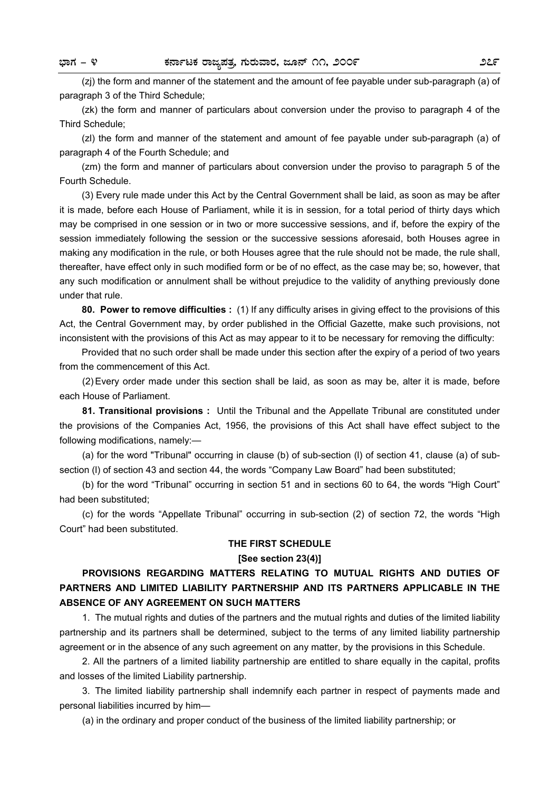(zj) the form and manner of the statement and the amount of fee payable under sub-paragraph (a) of paragraph 3 of the Third Schedule;

(zk) the form and manner of particulars about conversion under the proviso to paragraph 4 of the Third Schedule;

(zl) the form and manner of the statement and amount of fee payable under sub-paragraph (a) of paragraph 4 of the Fourth Schedule; and

(zm) the form and manner of particulars about conversion under the proviso to paragraph 5 of the Fourth Schedule.

(3) Every rule made under this Act by the Central Government shall be laid, as soon as may be after it is made, before each House of Parliament, while it is in session, for a total period of thirty days which may be comprised in one session or in two or more successive sessions, and if, before the expiry of the session immediately following the session or the successive sessions aforesaid, both Houses agree in making any modification in the rule, or both Houses agree that the rule should not be made, the rule shall, thereafter, have effect only in such modified form or be of no effect, as the case may be; so, however, that any such modification or annulment shall be without prejudice to the validity of anything previously done under that rule.

**80. Power to remove difficulties :** (1) If any difficulty arises in giving effect to the provisions of this Act, the Central Government may, by order published in the Official Gazette, make such provisions, not inconsistent with the provisions of this Act as may appear to it to be necessary for removing the difficulty:

Provided that no such order shall be made under this section after the expiry of a period of two years from the commencement of this Act.

(2) Every order made under this section shall be laid, as soon as may be, alter it is made, before each House of Parliament.

**81. Transitional provisions :** Until the Tribunal and the Appellate Tribunal are constituted under the provisions of the Companies Act, 1956, the provisions of this Act shall have effect subject to the following modifications, namely:—

(a) for the word "Tribunal" occurring in clause (b) of sub-section (l) of section 41, clause (a) of subsection (I) of section 43 and section 44, the words "Company Law Board" had been substituted;

(b) for the word "Tribunal" occurring in section 51 and in sections 60 to 64, the words "High Court" had been substituted;

(c) for the words "Appellate Tribunal" occurring in sub-section (2) of section 72, the words "High Court" had been substituted.

### **THE FIRST SCHEDULE**

### **[See section 23(4)]**

### **PROVISIONS REGARDING MATTERS RELATING TO MUTUAL RIGHTS AND DUTIES OF PARTNERS AND LIMITED LIABILITY PARTNERSHIP AND ITS PARTNERS APPLICABLE IN THE ABSENCE OF ANY AGREEMENT ON SUCH MATTERS**

1. The mutual rights and duties of the partners and the mutual rights and duties of the limited liability partnership and its partners shall be determined, subject to the terms of any limited liability partnership agreement or in the absence of any such agreement on any matter, by the provisions in this Schedule.

2. All the partners of a limited liability partnership are entitled to share equally in the capital, profits and losses of the limited Liability partnership.

3. The limited liability partnership shall indemnify each partner in respect of payments made and personal liabilities incurred by him—

(a) in the ordinary and proper conduct of the business of the limited liability partnership; or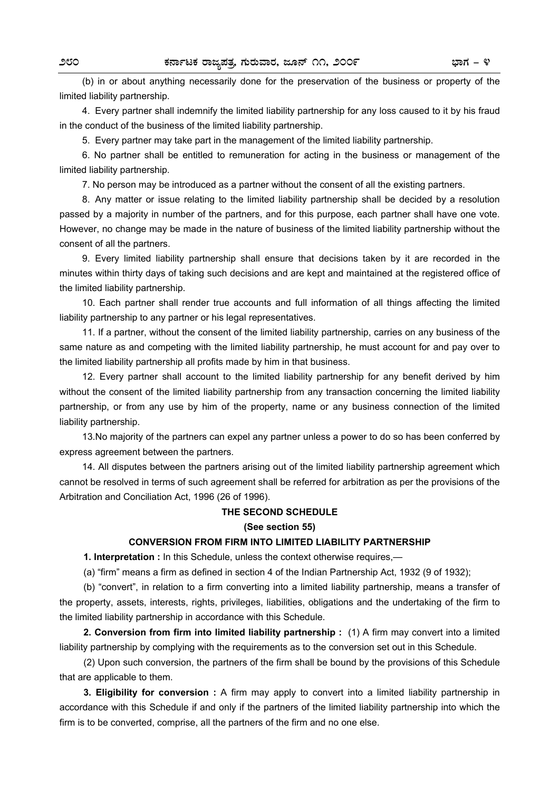(b) in or about anything necessarily done for the preservation of the business or property of the limited liability partnership.

4. Every partner shall indemnify the limited liability partnership for any loss caused to it by his fraud in the conduct of the business of the limited liability partnership.

5. Every partner may take part in the management of the limited liability partnership.

6. No partner shall be entitled to remuneration for acting in the business or management of the limited liability partnership.

7. No person may be introduced as a partner without the consent of all the existing partners.

8. Any matter or issue relating to the limited liability partnership shall be decided by a resolution passed by a majority in number of the partners, and for this purpose, each partner shall have one vote. However, no change may be made in the nature of business of the limited liability partnership without the consent of all the partners.

9. Every limited liability partnership shall ensure that decisions taken by it are recorded in the minutes within thirty days of taking such decisions and are kept and maintained at the registered office of the limited liability partnership.

10. Each partner shall render true accounts and full information of all things affecting the limited liability partnership to any partner or his legal representatives.

11. If a partner, without the consent of the limited liability partnership, carries on any business of the same nature as and competing with the limited liability partnership, he must account for and pay over to the limited liability partnership all profits made by him in that business.

12. Every partner shall account to the limited liability partnership for any benefit derived by him without the consent of the limited liability partnership from any transaction concerning the limited liability partnership, or from any use by him of the property, name or any business connection of the limited liability partnership.

13.No majority of the partners can expel any partner unless a power to do so has been conferred by express agreement between the partners.

14. All disputes between the partners arising out of the limited liability partnership agreement which cannot be resolved in terms of such agreement shall be referred for arbitration as per the provisions of the Arbitration and Conciliation Act, 1996 (26 of 1996).

### **THE SECOND SCHEDULE**

#### **(See section 55)**

### **CONVERSION FROM FIRM INTO LIMITED LIABILITY PARTNERSHIP**

**1. Interpretation :** In this Schedule, unless the context otherwise requires,—

(a) "firm" means a firm as defined in section 4 of the Indian Partnership Act, 1932 (9 of 1932);

 (b) "convert", in relation to a firm converting into a limited liability partnership, means a transfer of the property, assets, interests, rights, privileges, liabilities, obligations and the undertaking of the firm to the limited liability partnership in accordance with this Schedule.

 **2. Conversion from firm into limited liability partnership :** (1) A firm may convert into a limited liability partnership by complying with the requirements as to the conversion set out in this Schedule.

 (2) Upon such conversion, the partners of the firm shall be bound by the provisions of this Schedule that are applicable to them.

 **3. Eligibility for conversion :** A firm may apply to convert into a limited liability partnership in accordance with this Schedule if and only if the partners of the limited liability partnership into which the firm is to be converted, comprise, all the partners of the firm and no one else.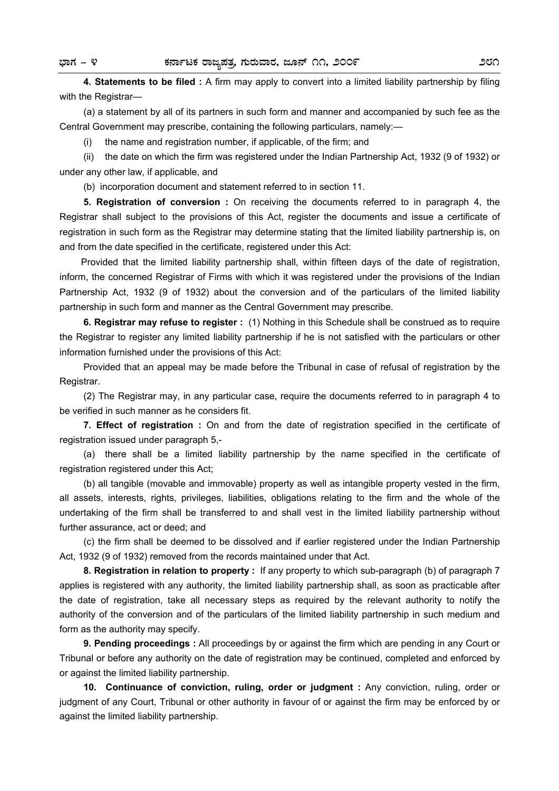**4. Statements to be filed :** A firm may apply to convert into a limited liability partnership by filing with the Registrar—

 (a) a statement by all of its partners in such form and manner and accompanied by such fee as the Central Government may prescribe, containing the following particulars, namely:—

(i) the name and registration number, if applicable, of the firm; and

 (ii) the date on which the firm was registered under the Indian Partnership Act, 1932 (9 of 1932) or under any other law, if applicable, and

(b) incorporation document and statement referred to in section 11.

 **5. Registration of conversion :** On receiving the documents referred to in paragraph 4, the Registrar shall subject to the provisions of this Act, register the documents and issue a certificate of registration in such form as the Registrar may determine stating that the limited liability partnership is, on and from the date specified in the certificate, registered under this Act:

 Provided that the limited liability partnership shall, within fifteen days of the date of registration, inform, the concerned Registrar of Firms with which it was registered under the provisions of the Indian Partnership Act, 1932 (9 of 1932) about the conversion and of the particulars of the limited liability partnership in such form and manner as the Central Government may prescribe.

**6. Registrar may refuse to register :** (1) Nothing in this Schedule shall be construed as to require the Registrar to register any limited liability partnership if he is not satisfied with the particulars or other information furnished under the provisions of this Act:

Provided that an appeal may be made before the Tribunal in case of refusal of registration by the Registrar.

(2) The Registrar may, in any particular case, require the documents referred to in paragraph 4 to be verified in such manner as he considers fit.

**7. Effect of registration :** On and from the date of registration specified in the certificate of registration issued under paragraph 5,-

(a) there shall be a limited liability partnership by the name specified in the certificate of registration registered under this Act;

(b) all tangible (movable and immovable) property as well as intangible property vested in the firm, all assets, interests, rights, privileges, liabilities, obligations relating to the firm and the whole of the undertaking of the firm shall be transferred to and shall vest in the limited liability partnership without further assurance, act or deed; and

(c) the firm shall be deemed to be dissolved and if earlier registered under the Indian Partnership Act, 1932 (9 of 1932) removed from the records maintained under that Act.

**8. Registration in relation to property :** If any property to which sub-paragraph (b) of paragraph 7 applies is registered with any authority, the limited liability partnership shall, as soon as practicable after the date of registration, take all necessary steps as required by the relevant authority to notify the authority of the conversion and of the particulars of the limited liability partnership in such medium and form as the authority may specify.

**9. Pending proceedings :** All proceedings by or against the firm which are pending in any Court or Tribunal or before any authority on the date of registration may be continued, completed and enforced by or against the limited liability partnership.

**10. Continuance of conviction, ruling, order or judgment :** Any conviction, ruling, order or judgment of any Court, Tribunal or other authority in favour of or against the firm may be enforced by or against the limited liability partnership.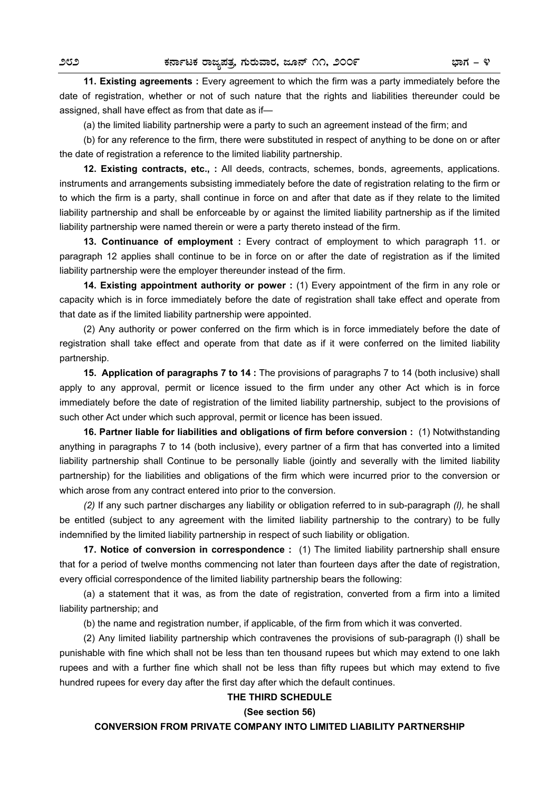**11. Existing agreements** : Every agreement to which the firm was a party immediately before the date of registration, whether or not of such nature that the rights and liabilities thereunder could be assigned, shall have effect as from that date as if—

(a) the limited liability partnership were a party to such an agreement instead of the firm; and

(b) for any reference to the firm, there were substituted in respect of anything to be done on or after the date of registration a reference to the limited liability partnership.

**12. Existing contracts, etc., :** All deeds, contracts, schemes, bonds, agreements, applications. instruments and arrangements subsisting immediately before the date of registration relating to the firm or to which the firm is a party, shall continue in force on and after that date as if they relate to the limited liability partnership and shall be enforceable by or against the limited liability partnership as if the limited liability partnership were named therein or were a party thereto instead of the firm.

**13. Continuance of employment :** Every contract of employment to which paragraph 11. or paragraph 12 applies shall continue to be in force on or after the date of registration as if the limited liability partnership were the employer thereunder instead of the firm.

**14. Existing appointment authority or power :** (1) Every appointment of the firm in any role or capacity which is in force immediately before the date of registration shall take effect and operate from that date as if the limited liability partnership were appointed.

(2) Any authority or power conferred on the firm which is in force immediately before the date of registration shall take effect and operate from that date as if it were conferred on the limited liability partnership.

**15. Application of paragraphs 7 to 14 :** The provisions of paragraphs 7 to 14 (both inclusive) shall apply to any approval, permit or licence issued to the firm under any other Act which is in force immediately before the date of registration of the limited liability partnership, subject to the provisions of such other Act under which such approval, permit or licence has been issued.

**16. Partner liable for liabilities and obligations of firm before conversion :** (1) Notwithstanding anything in paragraphs 7 to 14 (both inclusive), every partner of a firm that has converted into a limited liability partnership shall Continue to be personally liable (jointly and severally with the limited liability partnership) for the liabilities and obligations of the firm which were incurred prior to the conversion or which arose from any contract entered into prior to the conversion.

*(2)* If any such partner discharges any liability or obligation referred to in sub-paragraph *(l),* he shall be entitled (subject to any agreement with the limited liability partnership to the contrary) to be fully indemnified by the limited liability partnership in respect of such liability or obligation.

**17. Notice of conversion in correspondence :** (1) The limited liability partnership shall ensure that for a period of twelve months commencing not later than fourteen days after the date of registration, every official correspondence of the limited liability partnership bears the following:

(a) a statement that it was, as from the date of registration, converted from a firm into a limited liability partnership; and

(b) the name and registration number, if applicable, of the firm from which it was converted.

(2) Any limited liability partnership which contravenes the provisions of sub-paragraph (l) shall be punishable with fine which shall not be less than ten thousand rupees but which may extend to one lakh rupees and with a further fine which shall not be less than fifty rupees but which may extend to five hundred rupees for every day after the first day after which the default continues.

### **THE THIRD SCHEDULE**

#### **(See section 56)**

**CONVERSION FROM PRIVATE COMPANY INTO LIMITED LIABILITY PARTNERSHIP**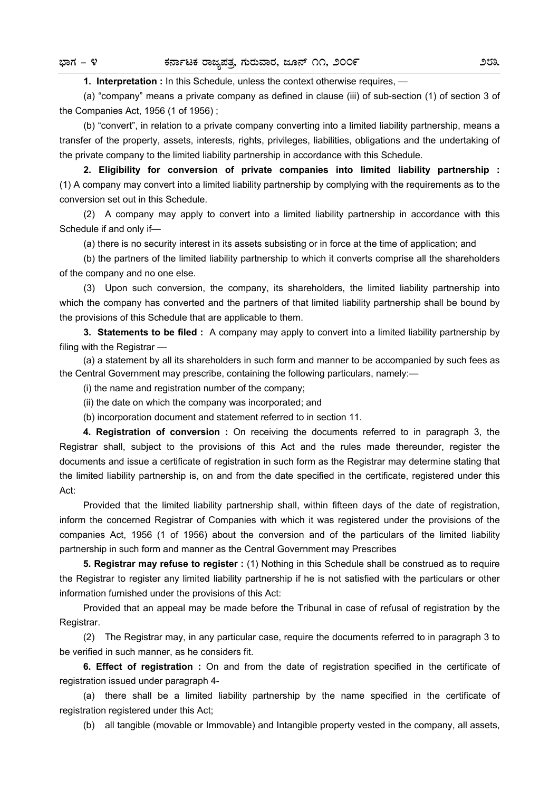**1. Interpretation :** In this Schedule, unless the context otherwise requires, —

(a) "company" means a private company as defined in clause (iii) of sub-section (1) of section 3 of the Companies Act, 1956 (1 of 1956) ;

(b) "convert", in relation to a private company converting into a limited liability partnership, means a transfer of the property, assets, interests, rights, privileges, liabilities, obligations and the undertaking of the private company to the limited liability partnership in accordance with this Schedule.

**2. Eligibility for conversion of private companies into limited liability partnership :**  (1) A company may convert into a limited liability partnership by complying with the requirements as to the conversion set out in this Schedule.

(2) A company may apply to convert into a limited liability partnership in accordance with this Schedule if and only if—

(a) there is no security interest in its assets subsisting or in force at the time of application; and

(b) the partners of the limited liability partnership to which it converts comprise all the shareholders of the company and no one else.

(3) Upon such conversion, the company, its shareholders, the limited liability partnership into which the company has converted and the partners of that limited liability partnership shall be bound by the provisions of this Schedule that are applicable to them.

**3. Statements to be filed :** A company may apply to convert into a limited liability partnership by filing with the Registrar —

(a) a statement by all its shareholders in such form and manner to be accompanied by such fees as the Central Government may prescribe, containing the following particulars, namely:—

(i) the name and registration number of the company;

(ii) the date on which the company was incorporated; and

(b) incorporation document and statement referred to in section 11.

**4. Registration of conversion :** On receiving the documents referred to in paragraph 3, the Registrar shall, subject to the provisions of this Act and the rules made thereunder, register the documents and issue a certificate of registration in such form as the Registrar may determine stating that the limited liability partnership is, on and from the date specified in the certificate, registered under this Act:

Provided that the limited liability partnership shall, within fifteen days of the date of registration, inform the concerned Registrar of Companies with which it was registered under the provisions of the companies Act, 1956 (1 of 1956) about the conversion and of the particulars of the limited liability partnership in such form and manner as the Central Government may Prescribes

**5. Registrar may refuse to register :** (1) Nothing in this Schedule shall be construed as to require the Registrar to register any limited liability partnership if he is not satisfied with the particulars or other information furnished under the provisions of this Act:

Provided that an appeal may be made before the Tribunal in case of refusal of registration by the Registrar.

(2) The Registrar may, in any particular case, require the documents referred to in paragraph 3 to be verified in such manner, as he considers fit.

**6. Effect of registration :** On and from the date of registration specified in the certificate of registration issued under paragraph 4-

(a) there shall be a limited liability partnership by the name specified in the certificate of registration registered under this Act;

(b) all tangible (movable or Immovable) and Intangible property vested in the company, all assets,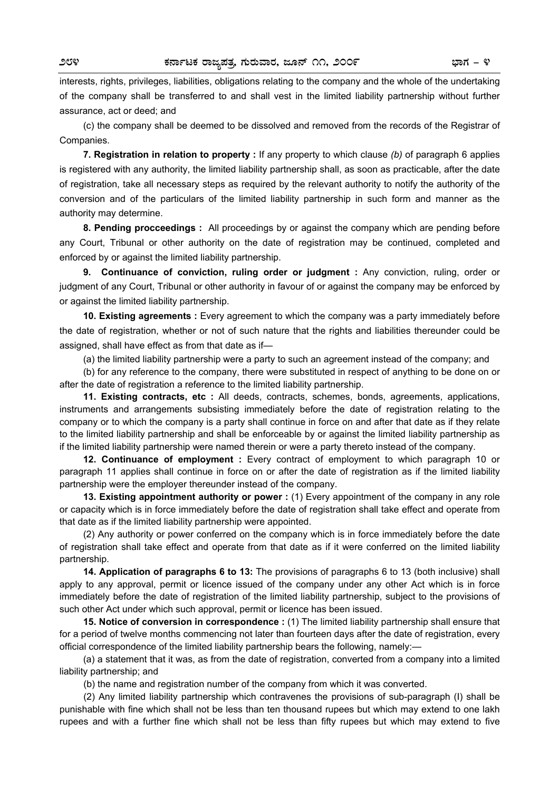interests, rights, privileges, liabilities, obligations relating to the company and the whole of the undertaking of the company shall be transferred to and shall vest in the limited liability partnership without further assurance, act or deed; and

(c) the company shall be deemed to be dissolved and removed from the records of the Registrar of Companies.

**7. Registration in relation to property :** If any property to which clause *(b)* of paragraph 6 applies is registered with any authority, the limited liability partnership shall, as soon as practicable, after the date of registration, take all necessary steps as required by the relevant authority to notify the authority of the conversion and of the particulars of the limited liability partnership in such form and manner as the authority may determine.

**8. Pending procceedings :** All proceedings by or against the company which are pending before any Court, Tribunal or other authority on the date of registration may be continued, completed and enforced by or against the limited liability partnership.

**9. Continuance of conviction, ruling order or judgment :** Any conviction, ruling, order or judgment of any Court, Tribunal or other authority in favour of or against the company may be enforced by or against the limited liability partnership.

**10. Existing agreements :** Every agreement to which the company was a party immediately before the date of registration, whether or not of such nature that the rights and liabilities thereunder could be assigned, shall have effect as from that date as if—

(a) the limited liability partnership were a party to such an agreement instead of the company; and

(b) for any reference to the company, there were substituted in respect of anything to be done on or after the date of registration a reference to the limited liability partnership.

**11. Existing contracts, etc :** All deeds, contracts, schemes, bonds, agreements, applications, instruments and arrangements subsisting immediately before the date of registration relating to the company or to which the company is a party shall continue in force on and after that date as if they relate to the limited liability partnership and shall be enforceable by or against the limited liability partnership as if the limited liability partnership were named therein or were a party thereto instead of the company.

**12. Continuance of employment :** Every contract of employment to which paragraph 10 or paragraph 11 applies shall continue in force on or after the date of registration as if the limited liability partnership were the employer thereunder instead of the company.

**13. Existing appointment authority or power :** (1) Every appointment of the company in any role or capacity which is in force immediately before the date of registration shall take effect and operate from that date as if the limited liability partnership were appointed.

(2) Any authority or power conferred on the company which is in force immediately before the date of registration shall take effect and operate from that date as if it were conferred on the limited liability partnership.

**14. Application of paragraphs 6 to 13:** The provisions of paragraphs 6 to 13 (both inclusive) shall apply to any approval, permit or licence issued of the company under any other Act which is in force immediately before the date of registration of the limited liability partnership, subject to the provisions of such other Act under which such approval, permit or licence has been issued.

**15. Notice of conversion in correspondence :** (1) The limited liability partnership shall ensure that for a period of twelve months commencing not later than fourteen days after the date of registration, every official correspondence of the limited liability partnership bears the following, namely:—

(a) a statement that it was, as from the date of registration, converted from a company into a limited liability partnership; and

(b) the name and registration number of the company from which it was converted.

(2) Any limited liability partnership which contravenes the provisions of sub-paragraph (I) shall be punishable with fine which shall not be less than ten thousand rupees but which may extend to one lakh rupees and with a further fine which shall not be less than fifty rupees but which may extend to five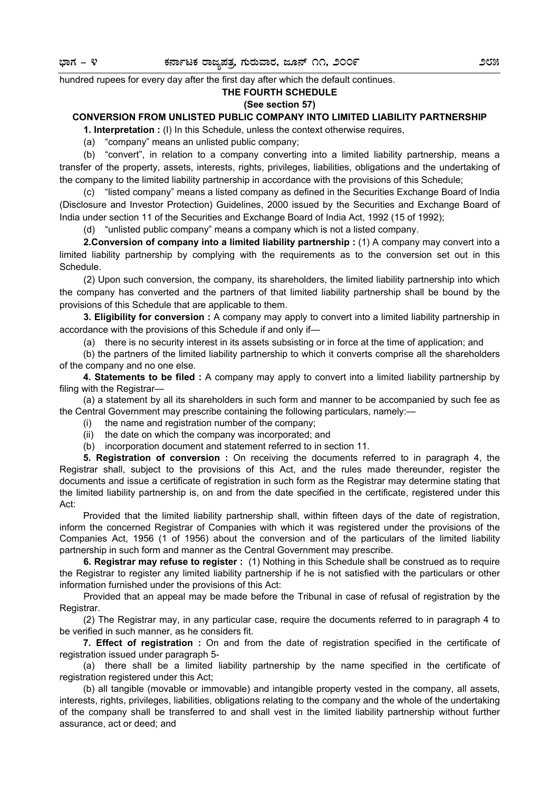hundred rupees for every day after the first day after which the default continues.

### **THE FOURTH SCHEDULE**

### **(See section 57)**

### **CONVERSION FROM UNLISTED PUBLIC COMPANY INTO LIMITED LIABILITY PARTNERSHIP**

**1. Interpretation :** (I) In this Schedule, unless the context otherwise requires,

(a) "company" means an unlisted public company;

(b) "convert", in relation to a company converting into a limited liability partnership, means a transfer of the property, assets, interests, rights, privileges, liabilities, obligations and the undertaking of the company to the limited liability partnership in accordance with the provisions of this Schedule;

(c) "listed company" means a listed company as defined in the Securities Exchange Board of India (Disclosure and Investor Protection) Guidelines, 2000 issued by the Securities and Exchange Board of India under section 11 of the Securities and Exchange Board of India Act, 1992 (15 of 1992);

(d) "unlisted public company" means a company which is not a listed company.

**2. Conversion of company into a limited liability partnership:** (1) A company may convert into a limited liability partnership by complying with the requirements as to the conversion set out in this Schedule.

(2) Upon such conversion, the company, its shareholders, the limited liability partnership into which the company has converted and the partners of that limited liability partnership shall be bound by the provisions of this Schedule that are applicable to them.

**3. Eligibility for conversion :** A company may apply to convert into a limited liability partnership in accordance with the provisions of this Schedule if and only if—

(a) there is no security interest in its assets subsisting or in force at the time of application; and

(b) the partners of the limited liability partnership to which it converts comprise all the shareholders of the company and no one else.

**4. Statements to be filed :** A company may apply to convert into a limited liability partnership by filing with the Registrar—

(a) a statement by all its shareholders in such form and manner to be accompanied by such fee as the Central Government may prescribe containing the following particulars, namely:—

- (i) the name and registration number of the company;
- (ii) the date on which the company was incorporated; and
- (b) incorporation document and statement referred to in section 11.

**5. Registration of conversion :** On receiving the documents referred to in paragraph 4, the Registrar shall, subject to the provisions of this Act, and the rules made thereunder, register the documents and issue a certificate of registration in such form as the Registrar may determine stating that the limited liability partnership is, on and from the date specified in the certificate, registered under this Act:

Provided that the limited liability partnership shall, within fifteen days of the date of registration, inform the concerned Registrar of Companies with which it was registered under the provisions of the Companies Act, 1956 (1 of 1956) about the conversion and of the particulars of the limited liability partnership in such form and manner as the Central Government may prescribe.

**6. Registrar may refuse to register :** (1) Nothing in this Schedule shall be construed as to require the Registrar to register any limited liability partnership if he is not satisfied with the particulars or other information furnished under the provisions of this Act:

Provided that an appeal may be made before the Tribunal in case of refusal of registration by the Registrar.

(2) The Registrar may, in any particular case, require the documents referred to in paragraph 4 to be verified in such manner, as he considers fit.

**7. Effect of registration :** On and from the date of registration specified in the certificate of registration issued under paragraph 5-

(a) there shall be a limited liability partnership by the name specified in the certificate of registration registered under this Act;

(b) all tangible (movable or immovable) and intangible property vested in the company, all assets, interests, rights, privileges, liabilities, obligations relating to the company and the whole of the undertaking of the company shall be transferred to and shall vest in the limited liability partnership without further assurance, act or deed; and